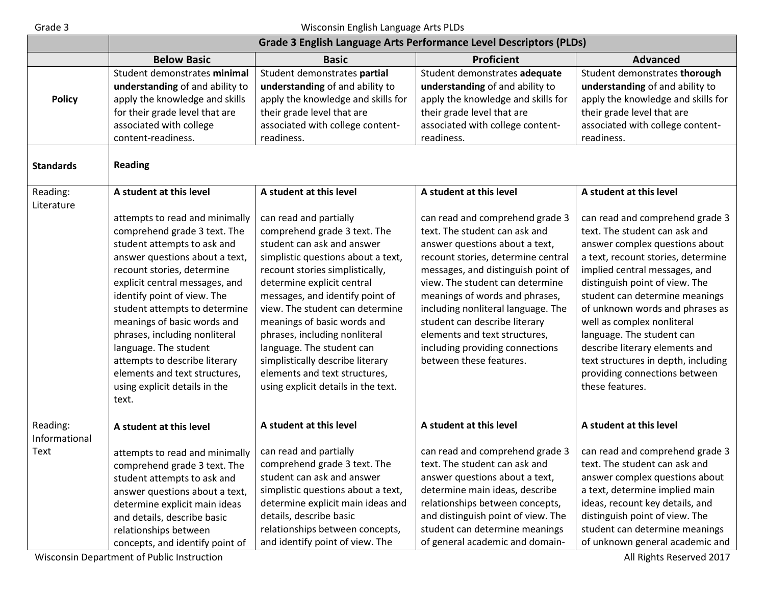## Grade 3 Wisconsin English Language Arts PLDs

|                        | Grade 3 English Language Arts Performance Level Descriptors (PLDs) |                                     |                                    |                                     |
|------------------------|--------------------------------------------------------------------|-------------------------------------|------------------------------------|-------------------------------------|
|                        | <b>Below Basic</b>                                                 | <b>Basic</b>                        | <b>Proficient</b>                  | <b>Advanced</b>                     |
|                        | Student demonstrates minimal                                       | Student demonstrates partial        | Student demonstrates adequate      | Student demonstrates thorough       |
|                        | understanding of and ability to                                    | understanding of and ability to     | understanding of and ability to    | understanding of and ability to     |
| <b>Policy</b>          | apply the knowledge and skills                                     | apply the knowledge and skills for  | apply the knowledge and skills for | apply the knowledge and skills for  |
|                        | for their grade level that are                                     | their grade level that are          | their grade level that are         | their grade level that are          |
|                        | associated with college                                            | associated with college content-    | associated with college content-   | associated with college content-    |
|                        | content-readiness.                                                 | readiness.                          | readiness.                         | readiness.                          |
| <b>Standards</b>       | <b>Reading</b>                                                     |                                     |                                    |                                     |
| Reading:<br>Literature | A student at this level                                            | A student at this level             | A student at this level            | A student at this level             |
|                        | attempts to read and minimally                                     | can read and partially              | can read and comprehend grade 3    | can read and comprehend grade 3     |
|                        | comprehend grade 3 text. The                                       | comprehend grade 3 text. The        | text. The student can ask and      | text. The student can ask and       |
|                        | student attempts to ask and                                        | student can ask and answer          | answer questions about a text,     | answer complex questions about      |
|                        | answer questions about a text,                                     | simplistic questions about a text,  | recount stories, determine central | a text, recount stories, determine  |
|                        | recount stories, determine                                         | recount stories simplistically,     | messages, and distinguish point of | implied central messages, and       |
|                        | explicit central messages, and                                     | determine explicit central          | view. The student can determine    | distinguish point of view. The      |
|                        | identify point of view. The                                        | messages, and identify point of     | meanings of words and phrases,     | student can determine meanings      |
|                        | student attempts to determine                                      | view. The student can determine     | including nonliteral language. The | of unknown words and phrases as     |
|                        | meanings of basic words and                                        | meanings of basic words and         | student can describe literary      | well as complex nonliteral          |
|                        | phrases, including nonliteral                                      | phrases, including nonliteral       | elements and text structures,      | language. The student can           |
|                        | language. The student                                              | language. The student can           | including providing connections    | describe literary elements and      |
|                        | attempts to describe literary                                      | simplistically describe literary    | between these features.            | text structures in depth, including |
|                        | elements and text structures,                                      | elements and text structures,       |                                    | providing connections between       |
|                        | using explicit details in the                                      | using explicit details in the text. |                                    | these features.                     |
|                        | text.                                                              |                                     |                                    |                                     |
| Reading:               | A student at this level                                            | A student at this level             | A student at this level            | A student at this level             |
| Informational          |                                                                    |                                     |                                    |                                     |
| Text                   | attempts to read and minimally                                     | can read and partially              | can read and comprehend grade 3    | can read and comprehend grade 3     |
|                        | comprehend grade 3 text. The                                       | comprehend grade 3 text. The        | text. The student can ask and      | text. The student can ask and       |
|                        | student attempts to ask and                                        | student can ask and answer          | answer questions about a text,     | answer complex questions about      |
|                        | answer questions about a text,                                     | simplistic questions about a text,  | determine main ideas, describe     | a text, determine implied main      |
|                        | determine explicit main ideas                                      | determine explicit main ideas and   | relationships between concepts,    | ideas, recount key details, and     |
|                        | and details, describe basic                                        | details, describe basic             | and distinguish point of view. The | distinguish point of view. The      |
|                        | relationships between                                              | relationships between concepts,     | student can determine meanings     | student can determine meanings      |
|                        | concepts, and identify point of                                    | and identify point of view. The     | of general academic and domain-    | of unknown general academic and     |

Wisconsin Department of Public Instruction **All Rights Reserved 2017** All Rights Reserved 2017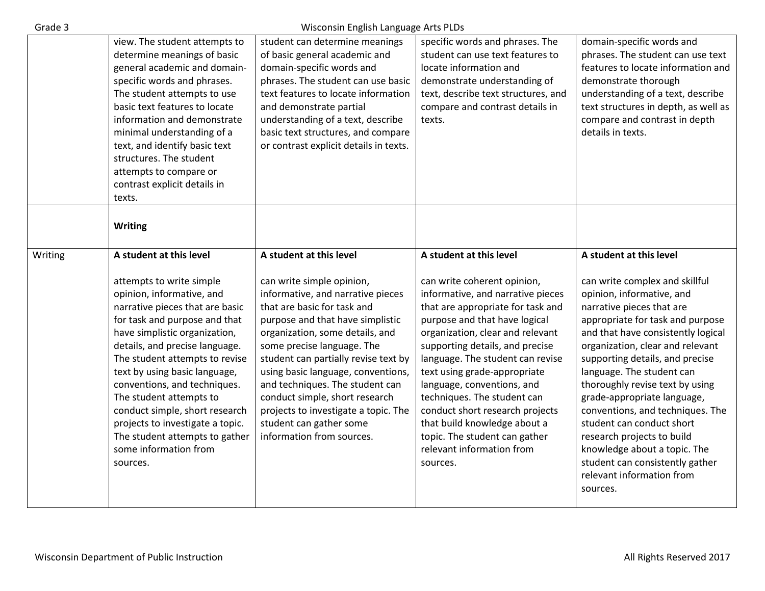| Grade 3 |                                                                                                                                                                                                                                                                                                                                                                                                                                                                                                    | Wisconsin English Language Arts PLDs                                                                                                                                                                                                                                                                                                                                                                                                                                             |                                                                                                                                                                                                                                                                                                                                                                                                                                                                                                                        |                                                                                                                                                                                                                                                                                                                                                                                                                                                                                                                                                                                |
|---------|----------------------------------------------------------------------------------------------------------------------------------------------------------------------------------------------------------------------------------------------------------------------------------------------------------------------------------------------------------------------------------------------------------------------------------------------------------------------------------------------------|----------------------------------------------------------------------------------------------------------------------------------------------------------------------------------------------------------------------------------------------------------------------------------------------------------------------------------------------------------------------------------------------------------------------------------------------------------------------------------|------------------------------------------------------------------------------------------------------------------------------------------------------------------------------------------------------------------------------------------------------------------------------------------------------------------------------------------------------------------------------------------------------------------------------------------------------------------------------------------------------------------------|--------------------------------------------------------------------------------------------------------------------------------------------------------------------------------------------------------------------------------------------------------------------------------------------------------------------------------------------------------------------------------------------------------------------------------------------------------------------------------------------------------------------------------------------------------------------------------|
|         | view. The student attempts to<br>determine meanings of basic<br>general academic and domain-<br>specific words and phrases.<br>The student attempts to use<br>basic text features to locate<br>information and demonstrate<br>minimal understanding of a<br>text, and identify basic text<br>structures. The student<br>attempts to compare or<br>contrast explicit details in<br>texts.                                                                                                           | student can determine meanings<br>of basic general academic and<br>domain-specific words and<br>phrases. The student can use basic<br>text features to locate information<br>and demonstrate partial<br>understanding of a text, describe<br>basic text structures, and compare<br>or contrast explicit details in texts.                                                                                                                                                        | specific words and phrases. The<br>student can use text features to<br>locate information and<br>demonstrate understanding of<br>text, describe text structures, and<br>compare and contrast details in<br>texts.                                                                                                                                                                                                                                                                                                      | domain-specific words and<br>phrases. The student can use text<br>features to locate information and<br>demonstrate thorough<br>understanding of a text, describe<br>text structures in depth, as well as<br>compare and contrast in depth<br>details in texts.                                                                                                                                                                                                                                                                                                                |
|         | <b>Writing</b>                                                                                                                                                                                                                                                                                                                                                                                                                                                                                     |                                                                                                                                                                                                                                                                                                                                                                                                                                                                                  |                                                                                                                                                                                                                                                                                                                                                                                                                                                                                                                        |                                                                                                                                                                                                                                                                                                                                                                                                                                                                                                                                                                                |
| Writing | A student at this level<br>attempts to write simple<br>opinion, informative, and<br>narrative pieces that are basic<br>for task and purpose and that<br>have simplistic organization,<br>details, and precise language.<br>The student attempts to revise<br>text by using basic language,<br>conventions, and techniques.<br>The student attempts to<br>conduct simple, short research<br>projects to investigate a topic.<br>The student attempts to gather<br>some information from<br>sources. | A student at this level<br>can write simple opinion,<br>informative, and narrative pieces<br>that are basic for task and<br>purpose and that have simplistic<br>organization, some details, and<br>some precise language. The<br>student can partially revise text by<br>using basic language, conventions,<br>and techniques. The student can<br>conduct simple, short research<br>projects to investigate a topic. The<br>student can gather some<br>information from sources. | A student at this level<br>can write coherent opinion,<br>informative, and narrative pieces<br>that are appropriate for task and<br>purpose and that have logical<br>organization, clear and relevant<br>supporting details, and precise<br>language. The student can revise<br>text using grade-appropriate<br>language, conventions, and<br>techniques. The student can<br>conduct short research projects<br>that build knowledge about a<br>topic. The student can gather<br>relevant information from<br>sources. | A student at this level<br>can write complex and skillful<br>opinion, informative, and<br>narrative pieces that are<br>appropriate for task and purpose<br>and that have consistently logical<br>organization, clear and relevant<br>supporting details, and precise<br>language. The student can<br>thoroughly revise text by using<br>grade-appropriate language,<br>conventions, and techniques. The<br>student can conduct short<br>research projects to build<br>knowledge about a topic. The<br>student can consistently gather<br>relevant information from<br>sources. |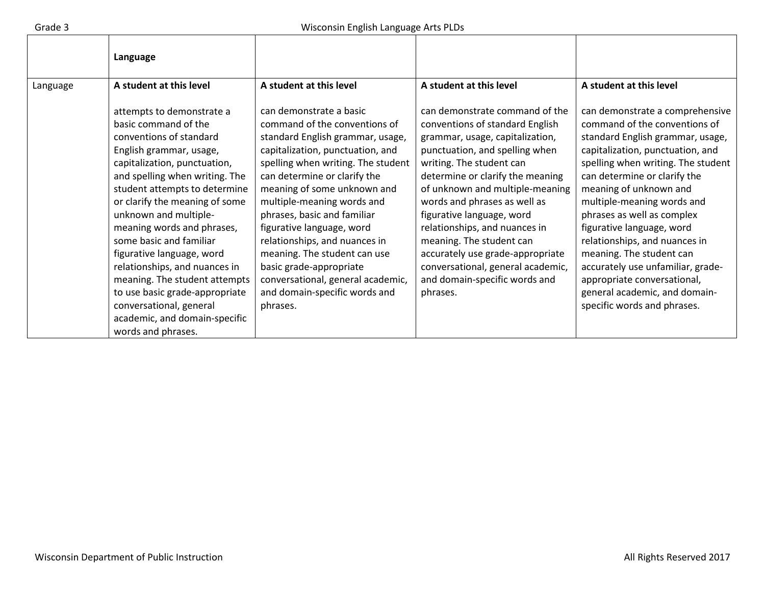|          | Language                                                                                                                                                                                                                                                                                                                                                                                                                                                                                                                                          |                                                                                                                                                                                                                                                                                                                                                                                                                                                                                                               |                                                                                                                                                                                                                                                                                                                                                                                                                                                                                           |                                                                                                                                                                                                                                                                                                                                                                                                                                                                                                                                    |
|----------|---------------------------------------------------------------------------------------------------------------------------------------------------------------------------------------------------------------------------------------------------------------------------------------------------------------------------------------------------------------------------------------------------------------------------------------------------------------------------------------------------------------------------------------------------|---------------------------------------------------------------------------------------------------------------------------------------------------------------------------------------------------------------------------------------------------------------------------------------------------------------------------------------------------------------------------------------------------------------------------------------------------------------------------------------------------------------|-------------------------------------------------------------------------------------------------------------------------------------------------------------------------------------------------------------------------------------------------------------------------------------------------------------------------------------------------------------------------------------------------------------------------------------------------------------------------------------------|------------------------------------------------------------------------------------------------------------------------------------------------------------------------------------------------------------------------------------------------------------------------------------------------------------------------------------------------------------------------------------------------------------------------------------------------------------------------------------------------------------------------------------|
| Language | A student at this level                                                                                                                                                                                                                                                                                                                                                                                                                                                                                                                           | A student at this level                                                                                                                                                                                                                                                                                                                                                                                                                                                                                       | A student at this level                                                                                                                                                                                                                                                                                                                                                                                                                                                                   | A student at this level                                                                                                                                                                                                                                                                                                                                                                                                                                                                                                            |
|          | attempts to demonstrate a<br>basic command of the<br>conventions of standard<br>English grammar, usage,<br>capitalization, punctuation,<br>and spelling when writing. The<br>student attempts to determine<br>or clarify the meaning of some<br>unknown and multiple-<br>meaning words and phrases,<br>some basic and familiar<br>figurative language, word<br>relationships, and nuances in<br>meaning. The student attempts<br>to use basic grade-appropriate<br>conversational, general<br>academic, and domain-specific<br>words and phrases. | can demonstrate a basic<br>command of the conventions of<br>standard English grammar, usage,<br>capitalization, punctuation, and<br>spelling when writing. The student<br>can determine or clarify the<br>meaning of some unknown and<br>multiple-meaning words and<br>phrases, basic and familiar<br>figurative language, word<br>relationships, and nuances in<br>meaning. The student can use<br>basic grade-appropriate<br>conversational, general academic,<br>and domain-specific words and<br>phrases. | can demonstrate command of the<br>conventions of standard English<br>grammar, usage, capitalization,<br>punctuation, and spelling when<br>writing. The student can<br>determine or clarify the meaning<br>of unknown and multiple-meaning<br>words and phrases as well as<br>figurative language, word<br>relationships, and nuances in<br>meaning. The student can<br>accurately use grade-appropriate<br>conversational, general academic,<br>and domain-specific words and<br>phrases. | can demonstrate a comprehensive<br>command of the conventions of<br>standard English grammar, usage,<br>capitalization, punctuation, and<br>spelling when writing. The student<br>can determine or clarify the<br>meaning of unknown and<br>multiple-meaning words and<br>phrases as well as complex<br>figurative language, word<br>relationships, and nuances in<br>meaning. The student can<br>accurately use unfamiliar, grade-<br>appropriate conversational,<br>general academic, and domain-<br>specific words and phrases. |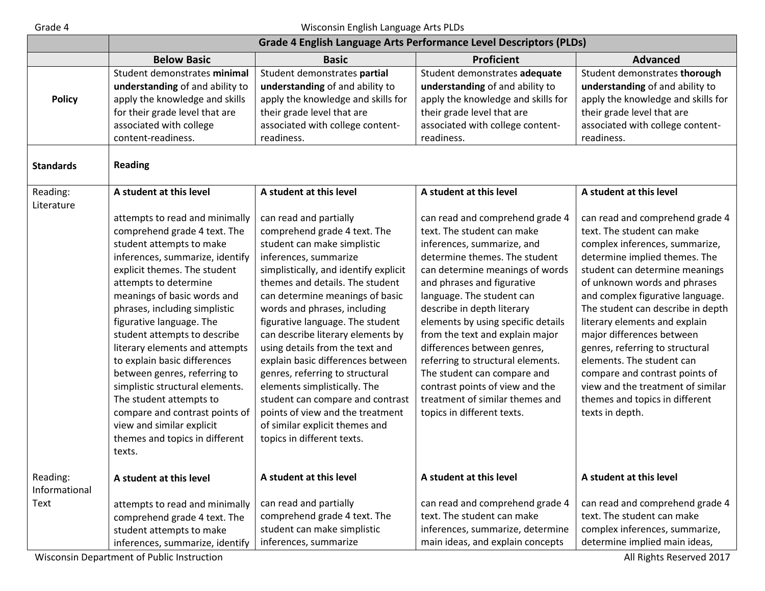# Grade 4 Wisconsin English Language Arts PLDs

|                           | Grade 4 English Language Arts Performance Level Descriptors (PLDs)                                                                                                                                                                                                                                                                                                                                                                                                                                                                                                                            |                                                                                                                                                                                                                                                                                                                                                                                                                                                                                                                                                                                                                           |                                                                                                                                                                                                                                                                                                                                                                                                                                                                                                                                          |                                                                                                                                                                                                                                                                                                                                                                                                                                                                                                                                       |
|---------------------------|-----------------------------------------------------------------------------------------------------------------------------------------------------------------------------------------------------------------------------------------------------------------------------------------------------------------------------------------------------------------------------------------------------------------------------------------------------------------------------------------------------------------------------------------------------------------------------------------------|---------------------------------------------------------------------------------------------------------------------------------------------------------------------------------------------------------------------------------------------------------------------------------------------------------------------------------------------------------------------------------------------------------------------------------------------------------------------------------------------------------------------------------------------------------------------------------------------------------------------------|------------------------------------------------------------------------------------------------------------------------------------------------------------------------------------------------------------------------------------------------------------------------------------------------------------------------------------------------------------------------------------------------------------------------------------------------------------------------------------------------------------------------------------------|---------------------------------------------------------------------------------------------------------------------------------------------------------------------------------------------------------------------------------------------------------------------------------------------------------------------------------------------------------------------------------------------------------------------------------------------------------------------------------------------------------------------------------------|
|                           | <b>Below Basic</b>                                                                                                                                                                                                                                                                                                                                                                                                                                                                                                                                                                            | <b>Basic</b>                                                                                                                                                                                                                                                                                                                                                                                                                                                                                                                                                                                                              | <b>Proficient</b>                                                                                                                                                                                                                                                                                                                                                                                                                                                                                                                        | <b>Advanced</b>                                                                                                                                                                                                                                                                                                                                                                                                                                                                                                                       |
| <b>Policy</b>             | Student demonstrates minimal<br>understanding of and ability to<br>apply the knowledge and skills<br>for their grade level that are<br>associated with college<br>content-readiness.                                                                                                                                                                                                                                                                                                                                                                                                          | Student demonstrates partial<br>understanding of and ability to<br>apply the knowledge and skills for<br>their grade level that are<br>associated with college content-<br>readiness.                                                                                                                                                                                                                                                                                                                                                                                                                                     | Student demonstrates adequate<br>understanding of and ability to<br>apply the knowledge and skills for<br>their grade level that are<br>associated with college content-<br>readiness.                                                                                                                                                                                                                                                                                                                                                   | Student demonstrates thorough<br>understanding of and ability to<br>apply the knowledge and skills for<br>their grade level that are<br>associated with college content-<br>readiness.                                                                                                                                                                                                                                                                                                                                                |
| <b>Standards</b>          | <b>Reading</b>                                                                                                                                                                                                                                                                                                                                                                                                                                                                                                                                                                                |                                                                                                                                                                                                                                                                                                                                                                                                                                                                                                                                                                                                                           |                                                                                                                                                                                                                                                                                                                                                                                                                                                                                                                                          |                                                                                                                                                                                                                                                                                                                                                                                                                                                                                                                                       |
| Reading:<br>Literature    | A student at this level                                                                                                                                                                                                                                                                                                                                                                                                                                                                                                                                                                       | A student at this level                                                                                                                                                                                                                                                                                                                                                                                                                                                                                                                                                                                                   | A student at this level                                                                                                                                                                                                                                                                                                                                                                                                                                                                                                                  | A student at this level                                                                                                                                                                                                                                                                                                                                                                                                                                                                                                               |
|                           | attempts to read and minimally<br>comprehend grade 4 text. The<br>student attempts to make<br>inferences, summarize, identify<br>explicit themes. The student<br>attempts to determine<br>meanings of basic words and<br>phrases, including simplistic<br>figurative language. The<br>student attempts to describe<br>literary elements and attempts<br>to explain basic differences<br>between genres, referring to<br>simplistic structural elements.<br>The student attempts to<br>compare and contrast points of<br>view and similar explicit<br>themes and topics in different<br>texts. | can read and partially<br>comprehend grade 4 text. The<br>student can make simplistic<br>inferences, summarize<br>simplistically, and identify explicit<br>themes and details. The student<br>can determine meanings of basic<br>words and phrases, including<br>figurative language. The student<br>can describe literary elements by<br>using details from the text and<br>explain basic differences between<br>genres, referring to structural<br>elements simplistically. The<br>student can compare and contrast<br>points of view and the treatment<br>of similar explicit themes and<br>topics in different texts. | can read and comprehend grade 4<br>text. The student can make<br>inferences, summarize, and<br>determine themes. The student<br>can determine meanings of words<br>and phrases and figurative<br>language. The student can<br>describe in depth literary<br>elements by using specific details<br>from the text and explain major<br>differences between genres,<br>referring to structural elements.<br>The student can compare and<br>contrast points of view and the<br>treatment of similar themes and<br>topics in different texts. | can read and comprehend grade 4<br>text. The student can make<br>complex inferences, summarize,<br>determine implied themes. The<br>student can determine meanings<br>of unknown words and phrases<br>and complex figurative language.<br>The student can describe in depth<br>literary elements and explain<br>major differences between<br>genres, referring to structural<br>elements. The student can<br>compare and contrast points of<br>view and the treatment of similar<br>themes and topics in different<br>texts in depth. |
| Reading:<br>Informational | A student at this level                                                                                                                                                                                                                                                                                                                                                                                                                                                                                                                                                                       | A student at this level                                                                                                                                                                                                                                                                                                                                                                                                                                                                                                                                                                                                   | A student at this level                                                                                                                                                                                                                                                                                                                                                                                                                                                                                                                  | A student at this level                                                                                                                                                                                                                                                                                                                                                                                                                                                                                                               |
| Text                      | attempts to read and minimally<br>comprehend grade 4 text. The<br>student attempts to make<br>inferences, summarize, identify                                                                                                                                                                                                                                                                                                                                                                                                                                                                 | can read and partially<br>comprehend grade 4 text. The<br>student can make simplistic<br>inferences, summarize                                                                                                                                                                                                                                                                                                                                                                                                                                                                                                            | can read and comprehend grade 4<br>text. The student can make<br>inferences, summarize, determine<br>main ideas, and explain concepts                                                                                                                                                                                                                                                                                                                                                                                                    | can read and comprehend grade 4<br>text. The student can make<br>complex inferences, summarize,<br>determine implied main ideas,                                                                                                                                                                                                                                                                                                                                                                                                      |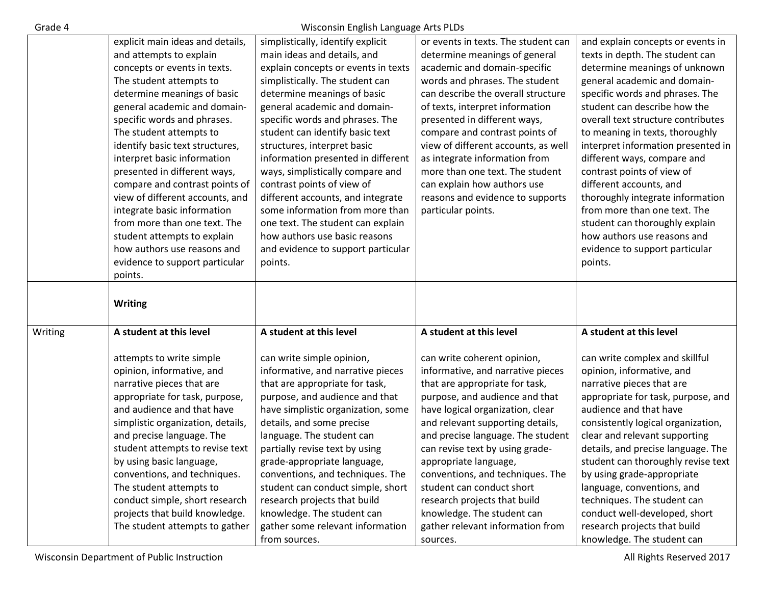| Λ<br>Grade |
|------------|
|------------|

Wisconsin English Language Arts PLDs

|         | explicit main ideas and details,  | simplistically, identify explicit   | or events in texts. The student can | and explain concepts or events in                          |
|---------|-----------------------------------|-------------------------------------|-------------------------------------|------------------------------------------------------------|
|         | and attempts to explain           | main ideas and details, and         | determine meanings of general       | texts in depth. The student can                            |
|         | concepts or events in texts.      | explain concepts or events in texts | academic and domain-specific        | determine meanings of unknown                              |
|         | The student attempts to           | simplistically. The student can     | words and phrases. The student      | general academic and domain-                               |
|         | determine meanings of basic       | determine meanings of basic         | can describe the overall structure  | specific words and phrases. The                            |
|         | general academic and domain-      | general academic and domain-        | of texts, interpret information     | student can describe how the                               |
|         | specific words and phrases.       | specific words and phrases. The     | presented in different ways,        | overall text structure contributes                         |
|         | The student attempts to           | student can identify basic text     | compare and contrast points of      | to meaning in texts, thoroughly                            |
|         | identify basic text structures,   | structures, interpret basic         | view of different accounts, as well | interpret information presented in                         |
|         | interpret basic information       | information presented in different  | as integrate information from       | different ways, compare and                                |
|         | presented in different ways,      | ways, simplistically compare and    | more than one text. The student     | contrast points of view of                                 |
|         | compare and contrast points of    | contrast points of view of          | can explain how authors use         | different accounts, and                                    |
|         | view of different accounts, and   | different accounts, and integrate   | reasons and evidence to supports    | thoroughly integrate information                           |
|         | integrate basic information       | some information from more than     | particular points.                  | from more than one text. The                               |
|         | from more than one text. The      | one text. The student can explain   |                                     | student can thoroughly explain                             |
|         | student attempts to explain       | how authors use basic reasons       |                                     | how authors use reasons and                                |
|         | how authors use reasons and       | and evidence to support particular  |                                     | evidence to support particular                             |
|         | evidence to support particular    | points.                             |                                     | points.                                                    |
|         | points.                           |                                     |                                     |                                                            |
|         |                                   |                                     |                                     |                                                            |
|         |                                   |                                     |                                     |                                                            |
|         |                                   |                                     |                                     |                                                            |
|         | <b>Writing</b>                    |                                     |                                     |                                                            |
| Writing | A student at this level           | A student at this level             | A student at this level             | A student at this level                                    |
|         |                                   |                                     |                                     |                                                            |
|         | attempts to write simple          | can write simple opinion,           | can write coherent opinion,         | can write complex and skillful                             |
|         | opinion, informative, and         | informative, and narrative pieces   | informative, and narrative pieces   | opinion, informative, and                                  |
|         | narrative pieces that are         | that are appropriate for task,      | that are appropriate for task,      | narrative pieces that are                                  |
|         | appropriate for task, purpose,    | purpose, and audience and that      | purpose, and audience and that      | appropriate for task, purpose, and                         |
|         | and audience and that have        | have simplistic organization, some  | have logical organization, clear    | audience and that have                                     |
|         | simplistic organization, details, | details, and some precise           | and relevant supporting details,    | consistently logical organization,                         |
|         | and precise language. The         | language. The student can           | and precise language. The student   | clear and relevant supporting                              |
|         | student attempts to revise text   | partially revise text by using      | can revise text by using grade-     | details, and precise language. The                         |
|         | by using basic language,          | grade-appropriate language,         | appropriate language,               | student can thoroughly revise text                         |
|         | conventions, and techniques.      | conventions, and techniques. The    | conventions, and techniques. The    | by using grade-appropriate                                 |
|         | The student attempts to           | student can conduct simple, short   | student can conduct short           | language, conventions, and                                 |
|         | conduct simple, short research    | research projects that build        | research projects that build        | techniques. The student can                                |
|         | projects that build knowledge.    | knowledge. The student can          | knowledge. The student can          | conduct well-developed, short                              |
|         | The student attempts to gather    | gather some relevant information    | gather relevant information from    | research projects that build<br>knowledge. The student can |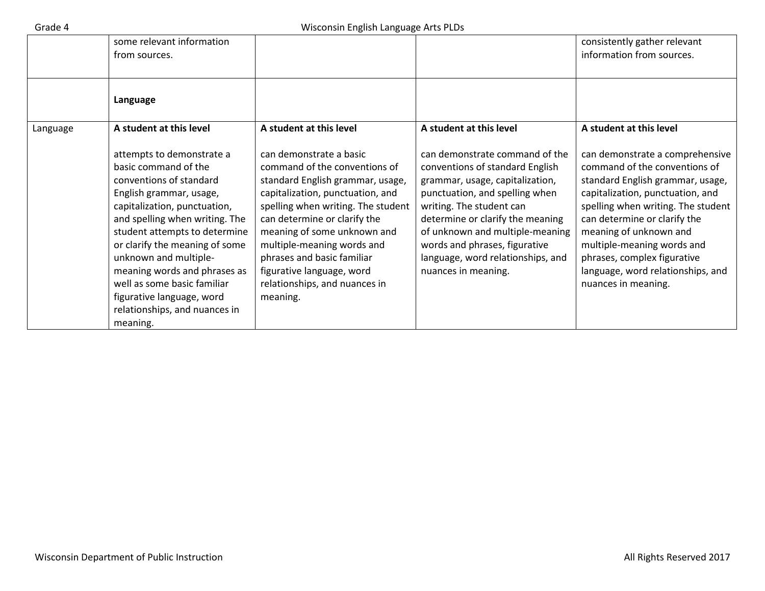|          | some relevant information<br>from sources.                                                                                                                                                                                                                                                                                                                                                                     |                                                                                                                                                                                                                                                                                                                                                                             |                                                                                                                                                                                                                                                                                                                                        | consistently gather relevant<br>information from sources.                                                                                                                                                                                                                                                                                                         |
|----------|----------------------------------------------------------------------------------------------------------------------------------------------------------------------------------------------------------------------------------------------------------------------------------------------------------------------------------------------------------------------------------------------------------------|-----------------------------------------------------------------------------------------------------------------------------------------------------------------------------------------------------------------------------------------------------------------------------------------------------------------------------------------------------------------------------|----------------------------------------------------------------------------------------------------------------------------------------------------------------------------------------------------------------------------------------------------------------------------------------------------------------------------------------|-------------------------------------------------------------------------------------------------------------------------------------------------------------------------------------------------------------------------------------------------------------------------------------------------------------------------------------------------------------------|
|          | Language                                                                                                                                                                                                                                                                                                                                                                                                       |                                                                                                                                                                                                                                                                                                                                                                             |                                                                                                                                                                                                                                                                                                                                        |                                                                                                                                                                                                                                                                                                                                                                   |
| Language | A student at this level                                                                                                                                                                                                                                                                                                                                                                                        | A student at this level                                                                                                                                                                                                                                                                                                                                                     | A student at this level                                                                                                                                                                                                                                                                                                                | A student at this level                                                                                                                                                                                                                                                                                                                                           |
|          | attempts to demonstrate a<br>basic command of the<br>conventions of standard<br>English grammar, usage,<br>capitalization, punctuation,<br>and spelling when writing. The<br>student attempts to determine<br>or clarify the meaning of some<br>unknown and multiple-<br>meaning words and phrases as<br>well as some basic familiar<br>figurative language, word<br>relationships, and nuances in<br>meaning. | can demonstrate a basic<br>command of the conventions of<br>standard English grammar, usage,<br>capitalization, punctuation, and<br>spelling when writing. The student<br>can determine or clarify the<br>meaning of some unknown and<br>multiple-meaning words and<br>phrases and basic familiar<br>figurative language, word<br>relationships, and nuances in<br>meaning. | can demonstrate command of the<br>conventions of standard English<br>grammar, usage, capitalization,<br>punctuation, and spelling when<br>writing. The student can<br>determine or clarify the meaning<br>of unknown and multiple-meaning<br>words and phrases, figurative<br>language, word relationships, and<br>nuances in meaning. | can demonstrate a comprehensive<br>command of the conventions of<br>standard English grammar, usage,<br>capitalization, punctuation, and<br>spelling when writing. The student<br>can determine or clarify the<br>meaning of unknown and<br>multiple-meaning words and<br>phrases, complex figurative<br>language, word relationships, and<br>nuances in meaning. |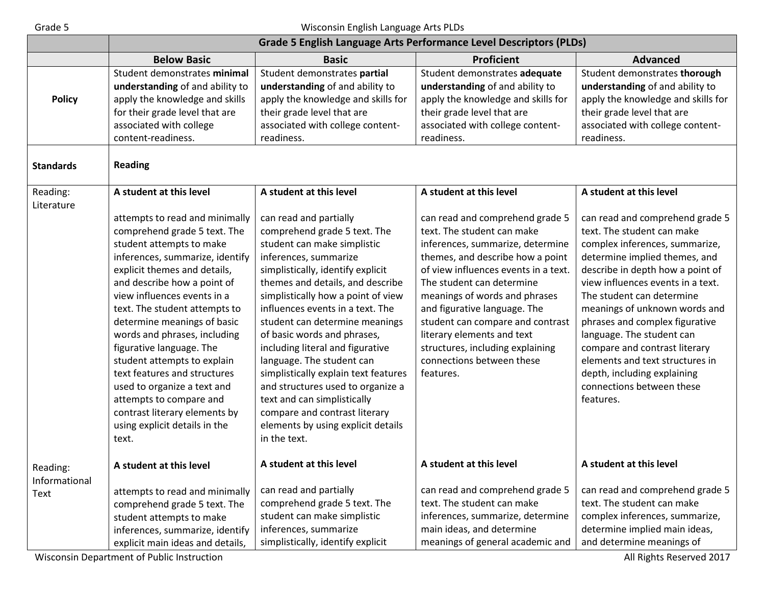### Grade 5 Wisconsin English Language Arts PLDs

|                              | <b>Grade 5 English Language Arts Performance Level Descriptors (PLDs)</b>                                                                                                                                                                                                                                                                                                                                                                                                                                                                                   |                                                                                                                                                                                                                                                                                                                                                                                                                                                                                                                                                                                                        |                                                                                                                                                                                                                                                                                                                                                                                                                             |                                                                                                                                                                                                                                                                                                                                                                                                                                                                                     |
|------------------------------|-------------------------------------------------------------------------------------------------------------------------------------------------------------------------------------------------------------------------------------------------------------------------------------------------------------------------------------------------------------------------------------------------------------------------------------------------------------------------------------------------------------------------------------------------------------|--------------------------------------------------------------------------------------------------------------------------------------------------------------------------------------------------------------------------------------------------------------------------------------------------------------------------------------------------------------------------------------------------------------------------------------------------------------------------------------------------------------------------------------------------------------------------------------------------------|-----------------------------------------------------------------------------------------------------------------------------------------------------------------------------------------------------------------------------------------------------------------------------------------------------------------------------------------------------------------------------------------------------------------------------|-------------------------------------------------------------------------------------------------------------------------------------------------------------------------------------------------------------------------------------------------------------------------------------------------------------------------------------------------------------------------------------------------------------------------------------------------------------------------------------|
|                              | <b>Below Basic</b>                                                                                                                                                                                                                                                                                                                                                                                                                                                                                                                                          | <b>Basic</b>                                                                                                                                                                                                                                                                                                                                                                                                                                                                                                                                                                                           | <b>Proficient</b>                                                                                                                                                                                                                                                                                                                                                                                                           | <b>Advanced</b>                                                                                                                                                                                                                                                                                                                                                                                                                                                                     |
| <b>Policy</b>                | Student demonstrates minimal<br>understanding of and ability to<br>apply the knowledge and skills<br>for their grade level that are<br>associated with college<br>content-readiness.                                                                                                                                                                                                                                                                                                                                                                        | Student demonstrates partial<br>understanding of and ability to<br>apply the knowledge and skills for<br>their grade level that are<br>associated with college content-<br>readiness.                                                                                                                                                                                                                                                                                                                                                                                                                  | Student demonstrates adequate<br>understanding of and ability to<br>apply the knowledge and skills for<br>their grade level that are<br>associated with college content-<br>readiness.                                                                                                                                                                                                                                      | Student demonstrates thorough<br>understanding of and ability to<br>apply the knowledge and skills for<br>their grade level that are<br>associated with college content-<br>readiness.                                                                                                                                                                                                                                                                                              |
| <b>Standards</b>             | <b>Reading</b>                                                                                                                                                                                                                                                                                                                                                                                                                                                                                                                                              |                                                                                                                                                                                                                                                                                                                                                                                                                                                                                                                                                                                                        |                                                                                                                                                                                                                                                                                                                                                                                                                             |                                                                                                                                                                                                                                                                                                                                                                                                                                                                                     |
| Reading:<br>Literature       | A student at this level                                                                                                                                                                                                                                                                                                                                                                                                                                                                                                                                     | A student at this level                                                                                                                                                                                                                                                                                                                                                                                                                                                                                                                                                                                | A student at this level                                                                                                                                                                                                                                                                                                                                                                                                     | A student at this level                                                                                                                                                                                                                                                                                                                                                                                                                                                             |
|                              | attempts to read and minimally<br>comprehend grade 5 text. The<br>student attempts to make<br>inferences, summarize, identify<br>explicit themes and details,<br>and describe how a point of<br>view influences events in a<br>text. The student attempts to<br>determine meanings of basic<br>words and phrases, including<br>figurative language. The<br>student attempts to explain<br>text features and structures<br>used to organize a text and<br>attempts to compare and<br>contrast literary elements by<br>using explicit details in the<br>text. | can read and partially<br>comprehend grade 5 text. The<br>student can make simplistic<br>inferences, summarize<br>simplistically, identify explicit<br>themes and details, and describe<br>simplistically how a point of view<br>influences events in a text. The<br>student can determine meanings<br>of basic words and phrases,<br>including literal and figurative<br>language. The student can<br>simplistically explain text features<br>and structures used to organize a<br>text and can simplistically<br>compare and contrast literary<br>elements by using explicit details<br>in the text. | can read and comprehend grade 5<br>text. The student can make<br>inferences, summarize, determine<br>themes, and describe how a point<br>of view influences events in a text.<br>The student can determine<br>meanings of words and phrases<br>and figurative language. The<br>student can compare and contrast<br>literary elements and text<br>structures, including explaining<br>connections between these<br>features. | can read and comprehend grade 5<br>text. The student can make<br>complex inferences, summarize,<br>determine implied themes, and<br>describe in depth how a point of<br>view influences events in a text.<br>The student can determine<br>meanings of unknown words and<br>phrases and complex figurative<br>language. The student can<br>compare and contrast literary<br>elements and text structures in<br>depth, including explaining<br>connections between these<br>features. |
| Reading:                     | A student at this level                                                                                                                                                                                                                                                                                                                                                                                                                                                                                                                                     | A student at this level                                                                                                                                                                                                                                                                                                                                                                                                                                                                                                                                                                                | A student at this level                                                                                                                                                                                                                                                                                                                                                                                                     | A student at this level                                                                                                                                                                                                                                                                                                                                                                                                                                                             |
| Informational<br><b>Text</b> | attempts to read and minimally<br>comprehend grade 5 text. The<br>student attempts to make<br>inferences, summarize, identify<br>explicit main ideas and details,                                                                                                                                                                                                                                                                                                                                                                                           | can read and partially<br>comprehend grade 5 text. The<br>student can make simplistic<br>inferences, summarize<br>simplistically, identify explicit                                                                                                                                                                                                                                                                                                                                                                                                                                                    | can read and comprehend grade 5<br>text. The student can make<br>inferences, summarize, determine<br>main ideas, and determine<br>meanings of general academic and                                                                                                                                                                                                                                                          | can read and comprehend grade 5<br>text. The student can make<br>complex inferences, summarize,<br>determine implied main ideas,<br>and determine meanings of                                                                                                                                                                                                                                                                                                                       |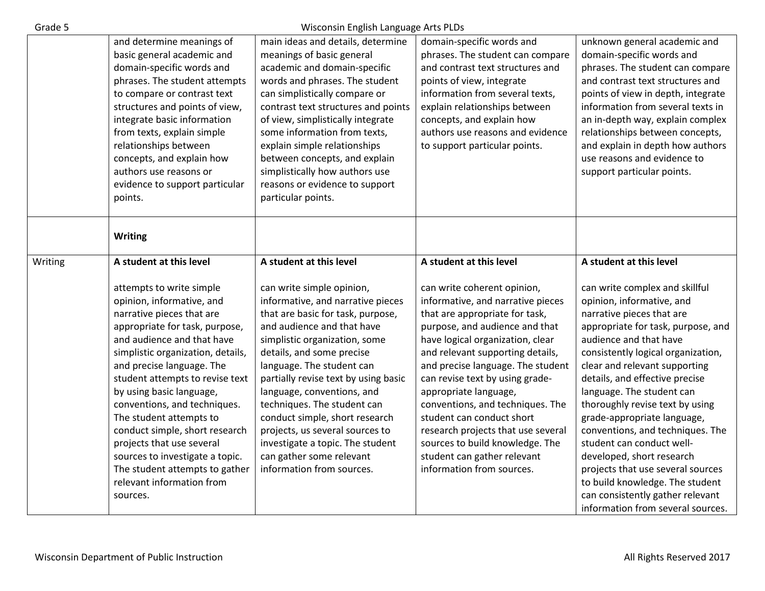| Grade 5 |                                                                                                                                                                                                                                                                                                                                                                                                                                                                                                                             | Wisconsin English Language Arts PLDs                                                                                                                                                                                                                                                                                                                                                                                                                                                                |                                                                                                                                                                                                                                                                                                                                                                                                                                                                                                                     |                                                                                                                                                                                                                                                                                                                                                                                                                                                                                                                                                                                                                 |
|---------|-----------------------------------------------------------------------------------------------------------------------------------------------------------------------------------------------------------------------------------------------------------------------------------------------------------------------------------------------------------------------------------------------------------------------------------------------------------------------------------------------------------------------------|-----------------------------------------------------------------------------------------------------------------------------------------------------------------------------------------------------------------------------------------------------------------------------------------------------------------------------------------------------------------------------------------------------------------------------------------------------------------------------------------------------|---------------------------------------------------------------------------------------------------------------------------------------------------------------------------------------------------------------------------------------------------------------------------------------------------------------------------------------------------------------------------------------------------------------------------------------------------------------------------------------------------------------------|-----------------------------------------------------------------------------------------------------------------------------------------------------------------------------------------------------------------------------------------------------------------------------------------------------------------------------------------------------------------------------------------------------------------------------------------------------------------------------------------------------------------------------------------------------------------------------------------------------------------|
|         | and determine meanings of<br>basic general academic and<br>domain-specific words and<br>phrases. The student attempts<br>to compare or contrast text<br>structures and points of view,<br>integrate basic information<br>from texts, explain simple<br>relationships between<br>concepts, and explain how<br>authors use reasons or<br>evidence to support particular<br>points.                                                                                                                                            | main ideas and details, determine<br>meanings of basic general<br>academic and domain-specific<br>words and phrases. The student<br>can simplistically compare or<br>contrast text structures and points<br>of view, simplistically integrate<br>some information from texts,<br>explain simple relationships<br>between concepts, and explain<br>simplistically how authors use<br>reasons or evidence to support<br>particular points.                                                            | domain-specific words and<br>phrases. The student can compare<br>and contrast text structures and<br>points of view, integrate<br>information from several texts,<br>explain relationships between<br>concepts, and explain how<br>authors use reasons and evidence<br>to support particular points.                                                                                                                                                                                                                | unknown general academic and<br>domain-specific words and<br>phrases. The student can compare<br>and contrast text structures and<br>points of view in depth, integrate<br>information from several texts in<br>an in-depth way, explain complex<br>relationships between concepts,<br>and explain in depth how authors<br>use reasons and evidence to<br>support particular points.                                                                                                                                                                                                                            |
| Writing | Writing<br>A student at this level                                                                                                                                                                                                                                                                                                                                                                                                                                                                                          | A student at this level                                                                                                                                                                                                                                                                                                                                                                                                                                                                             | A student at this level                                                                                                                                                                                                                                                                                                                                                                                                                                                                                             | A student at this level                                                                                                                                                                                                                                                                                                                                                                                                                                                                                                                                                                                         |
|         | attempts to write simple<br>opinion, informative, and<br>narrative pieces that are<br>appropriate for task, purpose,<br>and audience and that have<br>simplistic organization, details,<br>and precise language. The<br>student attempts to revise text<br>by using basic language,<br>conventions, and techniques.<br>The student attempts to<br>conduct simple, short research<br>projects that use several<br>sources to investigate a topic.<br>The student attempts to gather<br>relevant information from<br>sources. | can write simple opinion,<br>informative, and narrative pieces<br>that are basic for task, purpose,<br>and audience and that have<br>simplistic organization, some<br>details, and some precise<br>language. The student can<br>partially revise text by using basic<br>language, conventions, and<br>techniques. The student can<br>conduct simple, short research<br>projects, us several sources to<br>investigate a topic. The student<br>can gather some relevant<br>information from sources. | can write coherent opinion,<br>informative, and narrative pieces<br>that are appropriate for task,<br>purpose, and audience and that<br>have logical organization, clear<br>and relevant supporting details,<br>and precise language. The student<br>can revise text by using grade-<br>appropriate language,<br>conventions, and techniques. The<br>student can conduct short<br>research projects that use several<br>sources to build knowledge. The<br>student can gather relevant<br>information from sources. | can write complex and skillful<br>opinion, informative, and<br>narrative pieces that are<br>appropriate for task, purpose, and<br>audience and that have<br>consistently logical organization,<br>clear and relevant supporting<br>details, and effective precise<br>language. The student can<br>thoroughly revise text by using<br>grade-appropriate language,<br>conventions, and techniques. The<br>student can conduct well-<br>developed, short research<br>projects that use several sources<br>to build knowledge. The student<br>can consistently gather relevant<br>information from several sources. |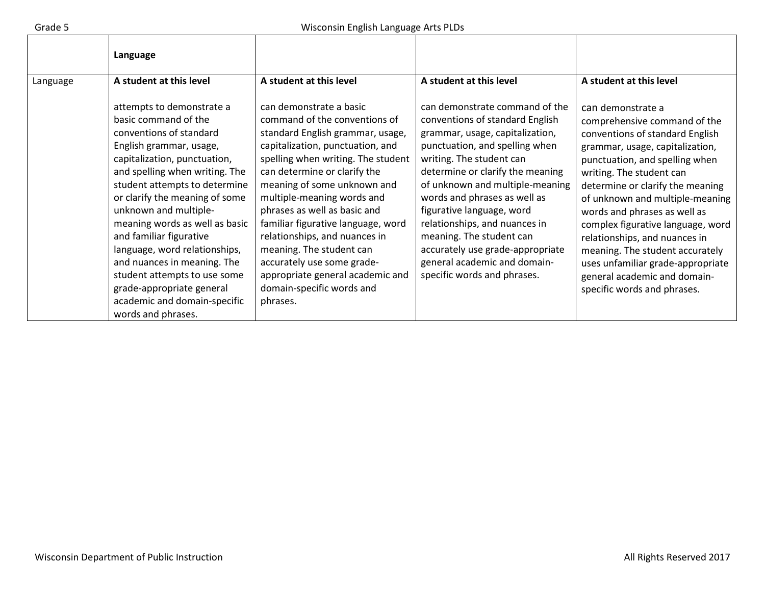|          | Language                                                                                                                                                                                                                                                                                                                                                                                                                                                                                                              |                                                                                                                                                                                                                                                                                                                                                                                                                                                                                                                   |                                                                                                                                                                                                                                                                                                                                                                                                                                                                        |                                                                                                                                                                                                                                                                                                                                                                                                                                                                                                           |
|----------|-----------------------------------------------------------------------------------------------------------------------------------------------------------------------------------------------------------------------------------------------------------------------------------------------------------------------------------------------------------------------------------------------------------------------------------------------------------------------------------------------------------------------|-------------------------------------------------------------------------------------------------------------------------------------------------------------------------------------------------------------------------------------------------------------------------------------------------------------------------------------------------------------------------------------------------------------------------------------------------------------------------------------------------------------------|------------------------------------------------------------------------------------------------------------------------------------------------------------------------------------------------------------------------------------------------------------------------------------------------------------------------------------------------------------------------------------------------------------------------------------------------------------------------|-----------------------------------------------------------------------------------------------------------------------------------------------------------------------------------------------------------------------------------------------------------------------------------------------------------------------------------------------------------------------------------------------------------------------------------------------------------------------------------------------------------|
| Language | A student at this level                                                                                                                                                                                                                                                                                                                                                                                                                                                                                               | A student at this level                                                                                                                                                                                                                                                                                                                                                                                                                                                                                           | A student at this level                                                                                                                                                                                                                                                                                                                                                                                                                                                | A student at this level                                                                                                                                                                                                                                                                                                                                                                                                                                                                                   |
|          | attempts to demonstrate a<br>basic command of the<br>conventions of standard<br>English grammar, usage,<br>capitalization, punctuation,<br>and spelling when writing. The<br>student attempts to determine<br>or clarify the meaning of some<br>unknown and multiple-<br>meaning words as well as basic<br>and familiar figurative<br>language, word relationships,<br>and nuances in meaning. The<br>student attempts to use some<br>grade-appropriate general<br>academic and domain-specific<br>words and phrases. | can demonstrate a basic<br>command of the conventions of<br>standard English grammar, usage,<br>capitalization, punctuation, and<br>spelling when writing. The student<br>can determine or clarify the<br>meaning of some unknown and<br>multiple-meaning words and<br>phrases as well as basic and<br>familiar figurative language, word<br>relationships, and nuances in<br>meaning. The student can<br>accurately use some grade-<br>appropriate general academic and<br>domain-specific words and<br>phrases. | can demonstrate command of the<br>conventions of standard English<br>grammar, usage, capitalization,<br>punctuation, and spelling when<br>writing. The student can<br>determine or clarify the meaning<br>of unknown and multiple-meaning<br>words and phrases as well as<br>figurative language, word<br>relationships, and nuances in<br>meaning. The student can<br>accurately use grade-appropriate<br>general academic and domain-<br>specific words and phrases. | can demonstrate a<br>comprehensive command of the<br>conventions of standard English<br>grammar, usage, capitalization,<br>punctuation, and spelling when<br>writing. The student can<br>determine or clarify the meaning<br>of unknown and multiple-meaning<br>words and phrases as well as<br>complex figurative language, word<br>relationships, and nuances in<br>meaning. The student accurately<br>uses unfamiliar grade-appropriate<br>general academic and domain-<br>specific words and phrases. |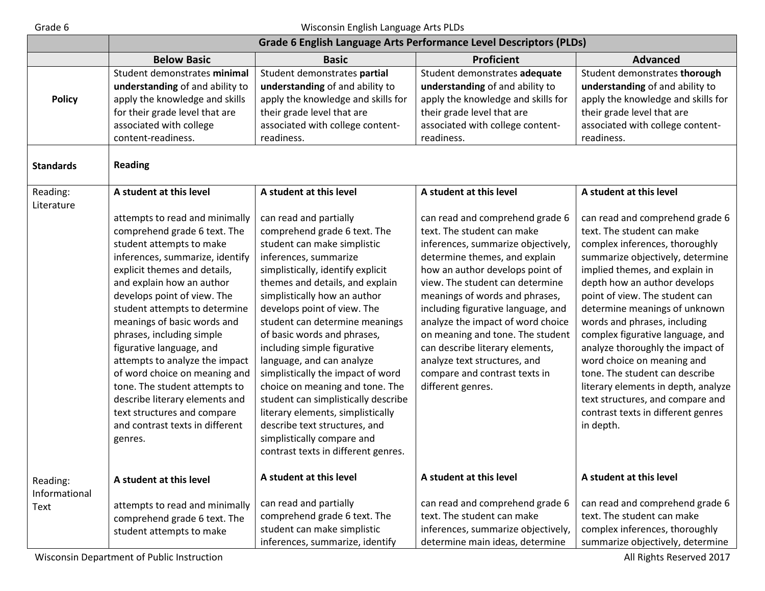#### Grade 6 Grade 6 Wisconsin English Language Arts PLDs

|                           | <b>Grade 6 English Language Arts Performance Level Descriptors (PLDs)</b>                                                                                                                                                                                                                                                                                                                                                                                                                                                                                             |                                                                                                                                                                                                                                                                                                                                                                                                                                                                                                                                                                                                                                              |                                                                                                                                                                                                                                                                                                                                                                                                                                                                                      |                                                                                                                                                                                                                                                                                                                                                                                                                                                                                                                                                                                |
|---------------------------|-----------------------------------------------------------------------------------------------------------------------------------------------------------------------------------------------------------------------------------------------------------------------------------------------------------------------------------------------------------------------------------------------------------------------------------------------------------------------------------------------------------------------------------------------------------------------|----------------------------------------------------------------------------------------------------------------------------------------------------------------------------------------------------------------------------------------------------------------------------------------------------------------------------------------------------------------------------------------------------------------------------------------------------------------------------------------------------------------------------------------------------------------------------------------------------------------------------------------------|--------------------------------------------------------------------------------------------------------------------------------------------------------------------------------------------------------------------------------------------------------------------------------------------------------------------------------------------------------------------------------------------------------------------------------------------------------------------------------------|--------------------------------------------------------------------------------------------------------------------------------------------------------------------------------------------------------------------------------------------------------------------------------------------------------------------------------------------------------------------------------------------------------------------------------------------------------------------------------------------------------------------------------------------------------------------------------|
|                           | <b>Below Basic</b>                                                                                                                                                                                                                                                                                                                                                                                                                                                                                                                                                    | <b>Basic</b>                                                                                                                                                                                                                                                                                                                                                                                                                                                                                                                                                                                                                                 | <b>Proficient</b>                                                                                                                                                                                                                                                                                                                                                                                                                                                                    | <b>Advanced</b>                                                                                                                                                                                                                                                                                                                                                                                                                                                                                                                                                                |
| <b>Policy</b>             | Student demonstrates minimal<br>understanding of and ability to<br>apply the knowledge and skills<br>for their grade level that are<br>associated with college<br>content-readiness.                                                                                                                                                                                                                                                                                                                                                                                  | Student demonstrates partial<br>understanding of and ability to<br>apply the knowledge and skills for<br>their grade level that are<br>associated with college content-<br>readiness.                                                                                                                                                                                                                                                                                                                                                                                                                                                        | Student demonstrates adequate<br>understanding of and ability to<br>apply the knowledge and skills for<br>their grade level that are<br>associated with college content-<br>readiness.                                                                                                                                                                                                                                                                                               | Student demonstrates thorough<br>understanding of and ability to<br>apply the knowledge and skills for<br>their grade level that are<br>associated with college content-<br>readiness.                                                                                                                                                                                                                                                                                                                                                                                         |
| <b>Standards</b>          | <b>Reading</b>                                                                                                                                                                                                                                                                                                                                                                                                                                                                                                                                                        |                                                                                                                                                                                                                                                                                                                                                                                                                                                                                                                                                                                                                                              |                                                                                                                                                                                                                                                                                                                                                                                                                                                                                      |                                                                                                                                                                                                                                                                                                                                                                                                                                                                                                                                                                                |
| Reading:<br>Literature    | A student at this level                                                                                                                                                                                                                                                                                                                                                                                                                                                                                                                                               | A student at this level                                                                                                                                                                                                                                                                                                                                                                                                                                                                                                                                                                                                                      | A student at this level                                                                                                                                                                                                                                                                                                                                                                                                                                                              | A student at this level                                                                                                                                                                                                                                                                                                                                                                                                                                                                                                                                                        |
|                           | attempts to read and minimally<br>comprehend grade 6 text. The<br>student attempts to make<br>inferences, summarize, identify<br>explicit themes and details,<br>and explain how an author<br>develops point of view. The<br>student attempts to determine<br>meanings of basic words and<br>phrases, including simple<br>figurative language, and<br>attempts to analyze the impact<br>of word choice on meaning and<br>tone. The student attempts to<br>describe literary elements and<br>text structures and compare<br>and contrast texts in different<br>genres. | can read and partially<br>comprehend grade 6 text. The<br>student can make simplistic<br>inferences, summarize<br>simplistically, identify explicit<br>themes and details, and explain<br>simplistically how an author<br>develops point of view. The<br>student can determine meanings<br>of basic words and phrases,<br>including simple figurative<br>language, and can analyze<br>simplistically the impact of word<br>choice on meaning and tone. The<br>student can simplistically describe<br>literary elements, simplistically<br>describe text structures, and<br>simplistically compare and<br>contrast texts in different genres. | can read and comprehend grade 6<br>text. The student can make<br>inferences, summarize objectively,<br>determine themes, and explain<br>how an author develops point of<br>view. The student can determine<br>meanings of words and phrases,<br>including figurative language, and<br>analyze the impact of word choice<br>on meaning and tone. The student<br>can describe literary elements,<br>analyze text structures, and<br>compare and contrast texts in<br>different genres. | can read and comprehend grade 6<br>text. The student can make<br>complex inferences, thoroughly<br>summarize objectively, determine<br>implied themes, and explain in<br>depth how an author develops<br>point of view. The student can<br>determine meanings of unknown<br>words and phrases, including<br>complex figurative language, and<br>analyze thoroughly the impact of<br>word choice on meaning and<br>tone. The student can describe<br>literary elements in depth, analyze<br>text structures, and compare and<br>contrast texts in different genres<br>in depth. |
| Reading:<br>Informational | A student at this level                                                                                                                                                                                                                                                                                                                                                                                                                                                                                                                                               | A student at this level                                                                                                                                                                                                                                                                                                                                                                                                                                                                                                                                                                                                                      | A student at this level                                                                                                                                                                                                                                                                                                                                                                                                                                                              | A student at this level                                                                                                                                                                                                                                                                                                                                                                                                                                                                                                                                                        |
| <b>Text</b>               | attempts to read and minimally<br>comprehend grade 6 text. The<br>student attempts to make                                                                                                                                                                                                                                                                                                                                                                                                                                                                            | can read and partially<br>comprehend grade 6 text. The<br>student can make simplistic<br>inferences, summarize, identify                                                                                                                                                                                                                                                                                                                                                                                                                                                                                                                     | can read and comprehend grade 6<br>text. The student can make<br>inferences, summarize objectively,<br>determine main ideas, determine                                                                                                                                                                                                                                                                                                                                               | can read and comprehend grade 6<br>text. The student can make<br>complex inferences, thoroughly<br>summarize objectively, determine                                                                                                                                                                                                                                                                                                                                                                                                                                            |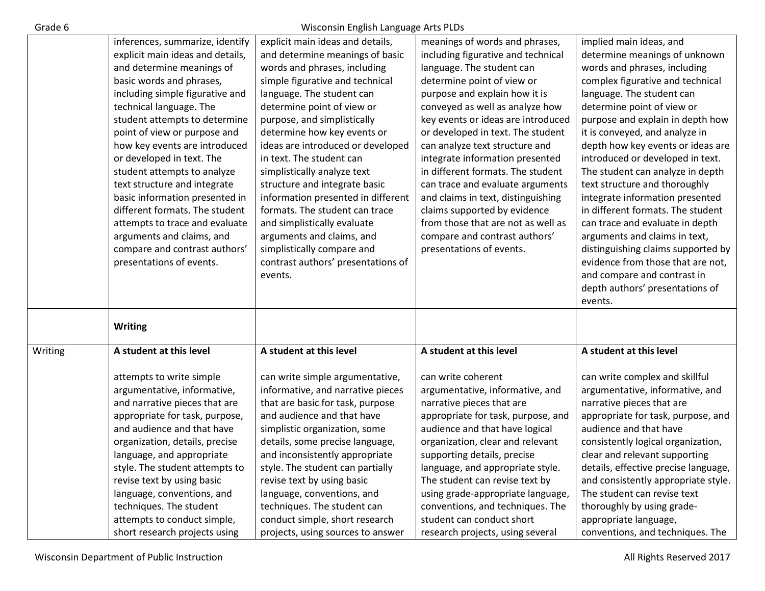| ırade |  |
|-------|--|
|       |  |

### Wisconsin English Language Arts PLDs

|         | inferences, summarize, identify  | explicit main ideas and details,   | meanings of words and phrases,     | implied main ideas, and              |
|---------|----------------------------------|------------------------------------|------------------------------------|--------------------------------------|
|         | explicit main ideas and details, | and determine meanings of basic    | including figurative and technical | determine meanings of unknown        |
|         | and determine meanings of        | words and phrases, including       | language. The student can          | words and phrases, including         |
|         | basic words and phrases,         | simple figurative and technical    | determine point of view or         | complex figurative and technical     |
|         | including simple figurative and  | language. The student can          | purpose and explain how it is      | language. The student can            |
|         | technical language. The          | determine point of view or         | conveyed as well as analyze how    | determine point of view or           |
|         | student attempts to determine    | purpose, and simplistically        | key events or ideas are introduced | purpose and explain in depth how     |
|         | point of view or purpose and     | determine how key events or        | or developed in text. The student  | it is conveyed, and analyze in       |
|         | how key events are introduced    | ideas are introduced or developed  | can analyze text structure and     | depth how key events or ideas are    |
|         | or developed in text. The        | in text. The student can           | integrate information presented    | introduced or developed in text.     |
|         | student attempts to analyze      | simplistically analyze text        | in different formats. The student  | The student can analyze in depth     |
|         | text structure and integrate     | structure and integrate basic      | can trace and evaluate arguments   | text structure and thoroughly        |
|         | basic information presented in   | information presented in different | and claims in text, distinguishing | integrate information presented      |
|         | different formats. The student   | formats. The student can trace     | claims supported by evidence       | in different formats. The student    |
|         | attempts to trace and evaluate   | and simplistically evaluate        | from those that are not as well as | can trace and evaluate in depth      |
|         | arguments and claims, and        | arguments and claims, and          | compare and contrast authors'      | arguments and claims in text,        |
|         | compare and contrast authors'    | simplistically compare and         | presentations of events.           | distinguishing claims supported by   |
|         | presentations of events.         | contrast authors' presentations of |                                    | evidence from those that are not,    |
|         |                                  | events.                            |                                    | and compare and contrast in          |
|         |                                  |                                    |                                    | depth authors' presentations of      |
|         |                                  |                                    |                                    | events.                              |
|         |                                  |                                    |                                    |                                      |
|         | <b>Writing</b>                   |                                    |                                    |                                      |
|         |                                  |                                    |                                    |                                      |
| Writing | A student at this level          | A student at this level            | A student at this level            | A student at this level              |
|         |                                  |                                    |                                    |                                      |
|         | attempts to write simple         | can write simple argumentative,    | can write coherent                 | can write complex and skillful       |
|         | argumentative, informative,      | informative, and narrative pieces  | argumentative, informative, and    | argumentative, informative, and      |
|         | and narrative pieces that are    | that are basic for task, purpose   | narrative pieces that are          | narrative pieces that are            |
|         | appropriate for task, purpose,   | and audience and that have         | appropriate for task, purpose, and | appropriate for task, purpose, and   |
|         | and audience and that have       | simplistic organization, some      | audience and that have logical     | audience and that have               |
|         | organization, details, precise   | details, some precise language,    | organization, clear and relevant   | consistently logical organization,   |
|         | language, and appropriate        | and inconsistently appropriate     | supporting details, precise        | clear and relevant supporting        |
|         | style. The student attempts to   | style. The student can partially   | language, and appropriate style.   | details, effective precise language, |
|         | revise text by using basic       | revise text by using basic         | The student can revise text by     | and consistently appropriate style.  |
|         | language, conventions, and       | language, conventions, and         | using grade-appropriate language,  | The student can revise text          |
|         | techniques. The student          | techniques. The student can        | conventions, and techniques. The   | thoroughly by using grade-           |
|         | attempts to conduct simple,      | conduct simple, short research     | student can conduct short          | appropriate language,                |
|         | short research projects using    | projects, using sources to answer  | research projects, using several   | conventions, and techniques. The     |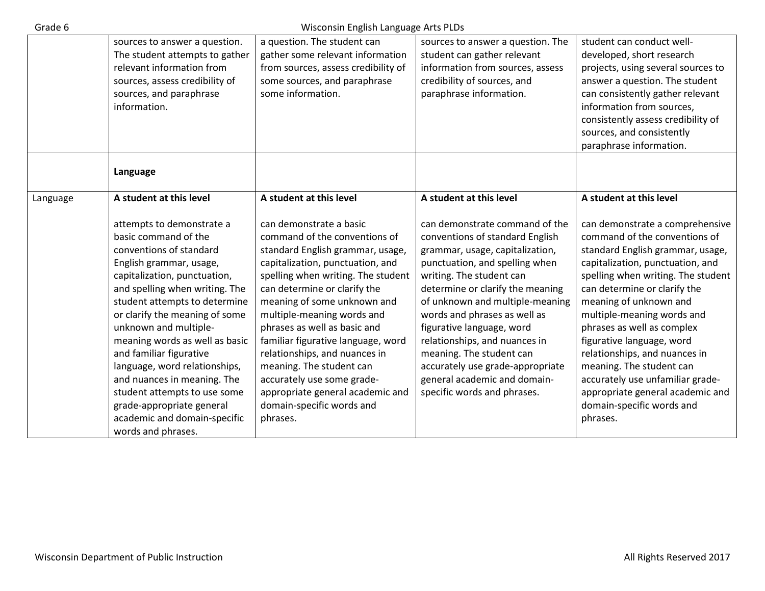| Grade 6  | Wisconsin English Language Arts PLDs                                                                                                                                                                                                                                                                                                                                                                                                                                                                                  |                                                                                                                                                                                                                                                                                                                                                                                                                                                                                                                   |                                                                                                                                                                                                                                                                                                                                                                                                                                                                        |                                                                                                                                                                                                                                                                                                                                                                                                                                                                                                                 |  |
|----------|-----------------------------------------------------------------------------------------------------------------------------------------------------------------------------------------------------------------------------------------------------------------------------------------------------------------------------------------------------------------------------------------------------------------------------------------------------------------------------------------------------------------------|-------------------------------------------------------------------------------------------------------------------------------------------------------------------------------------------------------------------------------------------------------------------------------------------------------------------------------------------------------------------------------------------------------------------------------------------------------------------------------------------------------------------|------------------------------------------------------------------------------------------------------------------------------------------------------------------------------------------------------------------------------------------------------------------------------------------------------------------------------------------------------------------------------------------------------------------------------------------------------------------------|-----------------------------------------------------------------------------------------------------------------------------------------------------------------------------------------------------------------------------------------------------------------------------------------------------------------------------------------------------------------------------------------------------------------------------------------------------------------------------------------------------------------|--|
|          | sources to answer a question.<br>The student attempts to gather                                                                                                                                                                                                                                                                                                                                                                                                                                                       | a question. The student can<br>gather some relevant information                                                                                                                                                                                                                                                                                                                                                                                                                                                   | sources to answer a question. The<br>student can gather relevant                                                                                                                                                                                                                                                                                                                                                                                                       | student can conduct well-<br>developed, short research                                                                                                                                                                                                                                                                                                                                                                                                                                                          |  |
|          | relevant information from<br>sources, assess credibility of<br>sources, and paraphrase<br>information.                                                                                                                                                                                                                                                                                                                                                                                                                | from sources, assess credibility of<br>some sources, and paraphrase<br>some information.                                                                                                                                                                                                                                                                                                                                                                                                                          | information from sources, assess<br>credibility of sources, and<br>paraphrase information.                                                                                                                                                                                                                                                                                                                                                                             | projects, using several sources to<br>answer a question. The student<br>can consistently gather relevant<br>information from sources,<br>consistently assess credibility of<br>sources, and consistently<br>paraphrase information.                                                                                                                                                                                                                                                                             |  |
|          | Language                                                                                                                                                                                                                                                                                                                                                                                                                                                                                                              |                                                                                                                                                                                                                                                                                                                                                                                                                                                                                                                   |                                                                                                                                                                                                                                                                                                                                                                                                                                                                        |                                                                                                                                                                                                                                                                                                                                                                                                                                                                                                                 |  |
| Language | A student at this level                                                                                                                                                                                                                                                                                                                                                                                                                                                                                               | A student at this level                                                                                                                                                                                                                                                                                                                                                                                                                                                                                           | A student at this level                                                                                                                                                                                                                                                                                                                                                                                                                                                | A student at this level                                                                                                                                                                                                                                                                                                                                                                                                                                                                                         |  |
|          | attempts to demonstrate a<br>basic command of the<br>conventions of standard<br>English grammar, usage,<br>capitalization, punctuation,<br>and spelling when writing. The<br>student attempts to determine<br>or clarify the meaning of some<br>unknown and multiple-<br>meaning words as well as basic<br>and familiar figurative<br>language, word relationships,<br>and nuances in meaning. The<br>student attempts to use some<br>grade-appropriate general<br>academic and domain-specific<br>words and phrases. | can demonstrate a basic<br>command of the conventions of<br>standard English grammar, usage,<br>capitalization, punctuation, and<br>spelling when writing. The student<br>can determine or clarify the<br>meaning of some unknown and<br>multiple-meaning words and<br>phrases as well as basic and<br>familiar figurative language, word<br>relationships, and nuances in<br>meaning. The student can<br>accurately use some grade-<br>appropriate general academic and<br>domain-specific words and<br>phrases. | can demonstrate command of the<br>conventions of standard English<br>grammar, usage, capitalization,<br>punctuation, and spelling when<br>writing. The student can<br>determine or clarify the meaning<br>of unknown and multiple-meaning<br>words and phrases as well as<br>figurative language, word<br>relationships, and nuances in<br>meaning. The student can<br>accurately use grade-appropriate<br>general academic and domain-<br>specific words and phrases. | can demonstrate a comprehensive<br>command of the conventions of<br>standard English grammar, usage,<br>capitalization, punctuation, and<br>spelling when writing. The student<br>can determine or clarify the<br>meaning of unknown and<br>multiple-meaning words and<br>phrases as well as complex<br>figurative language, word<br>relationships, and nuances in<br>meaning. The student can<br>accurately use unfamiliar grade-<br>appropriate general academic and<br>domain-specific words and<br>phrases. |  |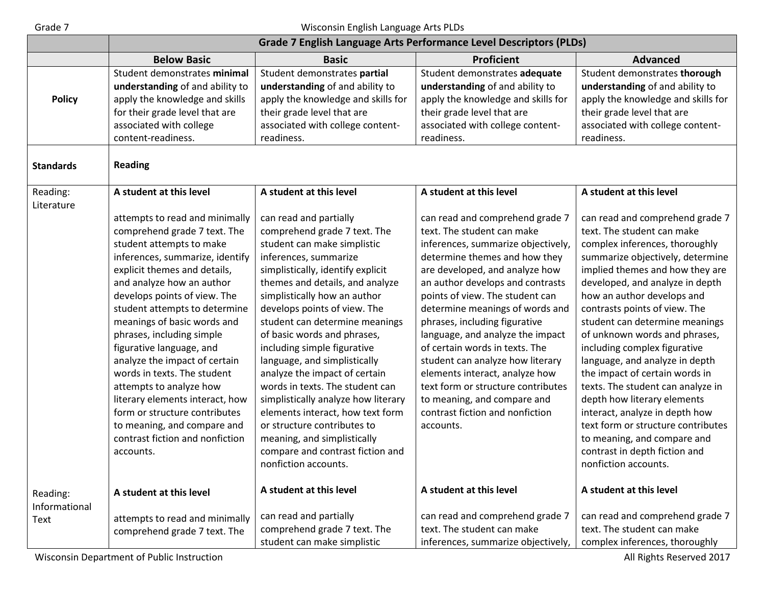# Grade 7 Wisconsin English Language Arts PLDs

|                        | <b>Grade 7 English Language Arts Performance Level Descriptors (PLDs)</b>                                                                                                                                                                                                                                                                                                                                                                                                                                                                                                                         |                                                                                                                                                                                                                                                                                                                                                                                                                                                                                                                                                                                                                                                                 |                                                                                                                                                                                                                                                                                                                                                                                                                                                                                                                                                                                    |                                                                                                                                                                                                                                                                                                                                                                                                                                                                                                                                                                                                                                                                                     |
|------------------------|---------------------------------------------------------------------------------------------------------------------------------------------------------------------------------------------------------------------------------------------------------------------------------------------------------------------------------------------------------------------------------------------------------------------------------------------------------------------------------------------------------------------------------------------------------------------------------------------------|-----------------------------------------------------------------------------------------------------------------------------------------------------------------------------------------------------------------------------------------------------------------------------------------------------------------------------------------------------------------------------------------------------------------------------------------------------------------------------------------------------------------------------------------------------------------------------------------------------------------------------------------------------------------|------------------------------------------------------------------------------------------------------------------------------------------------------------------------------------------------------------------------------------------------------------------------------------------------------------------------------------------------------------------------------------------------------------------------------------------------------------------------------------------------------------------------------------------------------------------------------------|-------------------------------------------------------------------------------------------------------------------------------------------------------------------------------------------------------------------------------------------------------------------------------------------------------------------------------------------------------------------------------------------------------------------------------------------------------------------------------------------------------------------------------------------------------------------------------------------------------------------------------------------------------------------------------------|
|                        | <b>Below Basic</b>                                                                                                                                                                                                                                                                                                                                                                                                                                                                                                                                                                                | <b>Basic</b>                                                                                                                                                                                                                                                                                                                                                                                                                                                                                                                                                                                                                                                    | <b>Proficient</b>                                                                                                                                                                                                                                                                                                                                                                                                                                                                                                                                                                  | <b>Advanced</b>                                                                                                                                                                                                                                                                                                                                                                                                                                                                                                                                                                                                                                                                     |
| <b>Policy</b>          | Student demonstrates minimal<br>understanding of and ability to<br>apply the knowledge and skills                                                                                                                                                                                                                                                                                                                                                                                                                                                                                                 | Student demonstrates partial<br>understanding of and ability to<br>apply the knowledge and skills for                                                                                                                                                                                                                                                                                                                                                                                                                                                                                                                                                           | Student demonstrates adequate<br>understanding of and ability to<br>apply the knowledge and skills for                                                                                                                                                                                                                                                                                                                                                                                                                                                                             | Student demonstrates thorough<br>understanding of and ability to<br>apply the knowledge and skills for                                                                                                                                                                                                                                                                                                                                                                                                                                                                                                                                                                              |
|                        | for their grade level that are<br>associated with college<br>content-readiness.                                                                                                                                                                                                                                                                                                                                                                                                                                                                                                                   | their grade level that are<br>associated with college content-<br>readiness.                                                                                                                                                                                                                                                                                                                                                                                                                                                                                                                                                                                    | their grade level that are<br>associated with college content-<br>readiness.                                                                                                                                                                                                                                                                                                                                                                                                                                                                                                       | their grade level that are<br>associated with college content-<br>readiness.                                                                                                                                                                                                                                                                                                                                                                                                                                                                                                                                                                                                        |
| <b>Standards</b>       | <b>Reading</b>                                                                                                                                                                                                                                                                                                                                                                                                                                                                                                                                                                                    |                                                                                                                                                                                                                                                                                                                                                                                                                                                                                                                                                                                                                                                                 |                                                                                                                                                                                                                                                                                                                                                                                                                                                                                                                                                                                    |                                                                                                                                                                                                                                                                                                                                                                                                                                                                                                                                                                                                                                                                                     |
| Reading:<br>Literature | A student at this level                                                                                                                                                                                                                                                                                                                                                                                                                                                                                                                                                                           | A student at this level                                                                                                                                                                                                                                                                                                                                                                                                                                                                                                                                                                                                                                         | A student at this level                                                                                                                                                                                                                                                                                                                                                                                                                                                                                                                                                            | A student at this level                                                                                                                                                                                                                                                                                                                                                                                                                                                                                                                                                                                                                                                             |
|                        | attempts to read and minimally<br>comprehend grade 7 text. The<br>student attempts to make<br>inferences, summarize, identify<br>explicit themes and details,<br>and analyze how an author<br>develops points of view. The<br>student attempts to determine<br>meanings of basic words and<br>phrases, including simple<br>figurative language, and<br>analyze the impact of certain<br>words in texts. The student<br>attempts to analyze how<br>literary elements interact, how<br>form or structure contributes<br>to meaning, and compare and<br>contrast fiction and nonfiction<br>accounts. | can read and partially<br>comprehend grade 7 text. The<br>student can make simplistic<br>inferences, summarize<br>simplistically, identify explicit<br>themes and details, and analyze<br>simplistically how an author<br>develops points of view. The<br>student can determine meanings<br>of basic words and phrases,<br>including simple figurative<br>language, and simplistically<br>analyze the impact of certain<br>words in texts. The student can<br>simplistically analyze how literary<br>elements interact, how text form<br>or structure contributes to<br>meaning, and simplistically<br>compare and contrast fiction and<br>nonfiction accounts. | can read and comprehend grade 7<br>text. The student can make<br>inferences, summarize objectively,<br>determine themes and how they<br>are developed, and analyze how<br>an author develops and contrasts<br>points of view. The student can<br>determine meanings of words and<br>phrases, including figurative<br>language, and analyze the impact<br>of certain words in texts. The<br>student can analyze how literary<br>elements interact, analyze how<br>text form or structure contributes<br>to meaning, and compare and<br>contrast fiction and nonfiction<br>accounts. | can read and comprehend grade 7<br>text. The student can make<br>complex inferences, thoroughly<br>summarize objectively, determine<br>implied themes and how they are<br>developed, and analyze in depth<br>how an author develops and<br>contrasts points of view. The<br>student can determine meanings<br>of unknown words and phrases,<br>including complex figurative<br>language, and analyze in depth<br>the impact of certain words in<br>texts. The student can analyze in<br>depth how literary elements<br>interact, analyze in depth how<br>text form or structure contributes<br>to meaning, and compare and<br>contrast in depth fiction and<br>nonfiction accounts. |
| Reading:               | A student at this level                                                                                                                                                                                                                                                                                                                                                                                                                                                                                                                                                                           | A student at this level                                                                                                                                                                                                                                                                                                                                                                                                                                                                                                                                                                                                                                         | A student at this level                                                                                                                                                                                                                                                                                                                                                                                                                                                                                                                                                            | A student at this level                                                                                                                                                                                                                                                                                                                                                                                                                                                                                                                                                                                                                                                             |
| Informational<br>Text  | attempts to read and minimally<br>comprehend grade 7 text. The                                                                                                                                                                                                                                                                                                                                                                                                                                                                                                                                    | can read and partially<br>comprehend grade 7 text. The<br>student can make simplistic                                                                                                                                                                                                                                                                                                                                                                                                                                                                                                                                                                           | can read and comprehend grade 7<br>text. The student can make<br>inferences, summarize objectively,                                                                                                                                                                                                                                                                                                                                                                                                                                                                                | can read and comprehend grade 7<br>text. The student can make<br>complex inferences, thoroughly                                                                                                                                                                                                                                                                                                                                                                                                                                                                                                                                                                                     |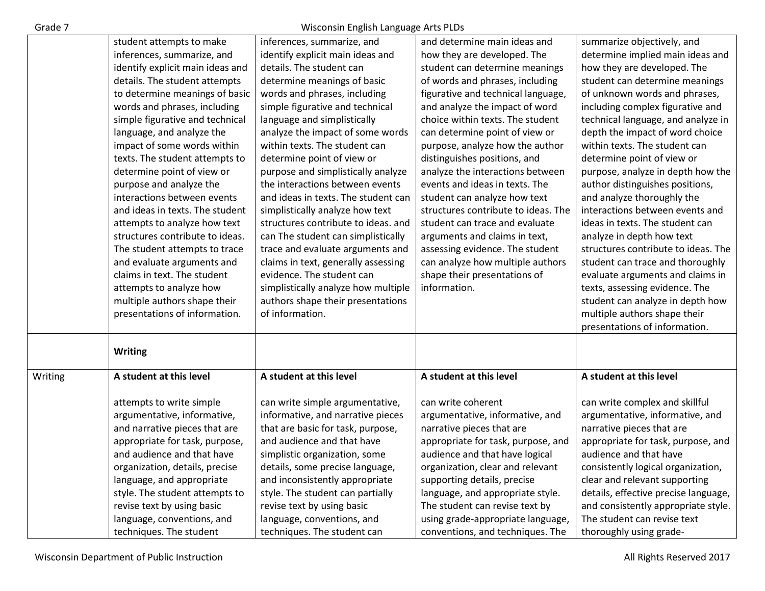## Grade 7 Wisconsin English Language Arts PLDs

|         | student attempts to make         | inferences, summarize, and          | and determine main ideas and        | summarize objectively, and           |
|---------|----------------------------------|-------------------------------------|-------------------------------------|--------------------------------------|
|         | inferences, summarize, and       | identify explicit main ideas and    | how they are developed. The         | determine implied main ideas and     |
|         | identify explicit main ideas and | details. The student can            | student can determine meanings      | how they are developed. The          |
|         | details. The student attempts    | determine meanings of basic         | of words and phrases, including     | student can determine meanings       |
|         | to determine meanings of basic   | words and phrases, including        | figurative and technical language,  | of unknown words and phrases,        |
|         | words and phrases, including     | simple figurative and technical     | and analyze the impact of word      | including complex figurative and     |
|         | simple figurative and technical  | language and simplistically         | choice within texts. The student    | technical language, and analyze in   |
|         | language, and analyze the        | analyze the impact of some words    | can determine point of view or      | depth the impact of word choice      |
|         | impact of some words within      | within texts. The student can       | purpose, analyze how the author     | within texts. The student can        |
|         | texts. The student attempts to   | determine point of view or          | distinguishes positions, and        | determine point of view or           |
|         | determine point of view or       | purpose and simplistically analyze  | analyze the interactions between    | purpose, analyze in depth how the    |
|         | purpose and analyze the          | the interactions between events     | events and ideas in texts. The      | author distinguishes positions,      |
|         | interactions between events      | and ideas in texts. The student can | student can analyze how text        | and analyze thoroughly the           |
|         | and ideas in texts. The student  | simplistically analyze how text     | structures contribute to ideas. The | interactions between events and      |
|         | attempts to analyze how text     | structures contribute to ideas. and | student can trace and evaluate      | ideas in texts. The student can      |
|         | structures contribute to ideas.  | can The student can simplistically  | arguments and claims in text,       | analyze in depth how text            |
|         | The student attempts to trace    | trace and evaluate arguments and    | assessing evidence. The student     | structures contribute to ideas. The  |
|         | and evaluate arguments and       | claims in text, generally assessing | can analyze how multiple authors    | student can trace and thoroughly     |
|         | claims in text. The student      | evidence. The student can           | shape their presentations of        | evaluate arguments and claims in     |
|         | attempts to analyze how          | simplistically analyze how multiple | information.                        | texts, assessing evidence. The       |
|         | multiple authors shape their     | authors shape their presentations   |                                     | student can analyze in depth how     |
|         | presentations of information.    | of information.                     |                                     | multiple authors shape their         |
|         |                                  |                                     |                                     | presentations of information.        |
|         |                                  |                                     |                                     |                                      |
|         | <b>Writing</b>                   |                                     |                                     |                                      |
|         |                                  |                                     |                                     |                                      |
| Writing | A student at this level          | A student at this level             | A student at this level             | A student at this level              |
|         |                                  |                                     |                                     |                                      |
|         | attempts to write simple         | can write simple argumentative,     | can write coherent                  | can write complex and skillful       |
|         | argumentative, informative,      | informative, and narrative pieces   | argumentative, informative, and     | argumentative, informative, and      |
|         | and narrative pieces that are    | that are basic for task, purpose,   | narrative pieces that are           | narrative pieces that are            |
|         | appropriate for task, purpose,   | and audience and that have          | appropriate for task, purpose, and  | appropriate for task, purpose, and   |
|         | and audience and that have       | simplistic organization, some       | audience and that have logical      | audience and that have               |
|         | organization, details, precise   | details, some precise language,     | organization, clear and relevant    | consistently logical organization,   |
|         | language, and appropriate        | and inconsistently appropriate      | supporting details, precise         | clear and relevant supporting        |
|         | style. The student attempts to   | style. The student can partially    | language, and appropriate style.    | details, effective precise language, |
|         | revise text by using basic       | revise text by using basic          | The student can revise text by      | and consistently appropriate style.  |
|         | language, conventions, and       | language, conventions, and          | using grade-appropriate language,   | The student can revise text          |
|         | techniques. The student          | techniques. The student can         | conventions, and techniques. The    | thoroughly using grade-              |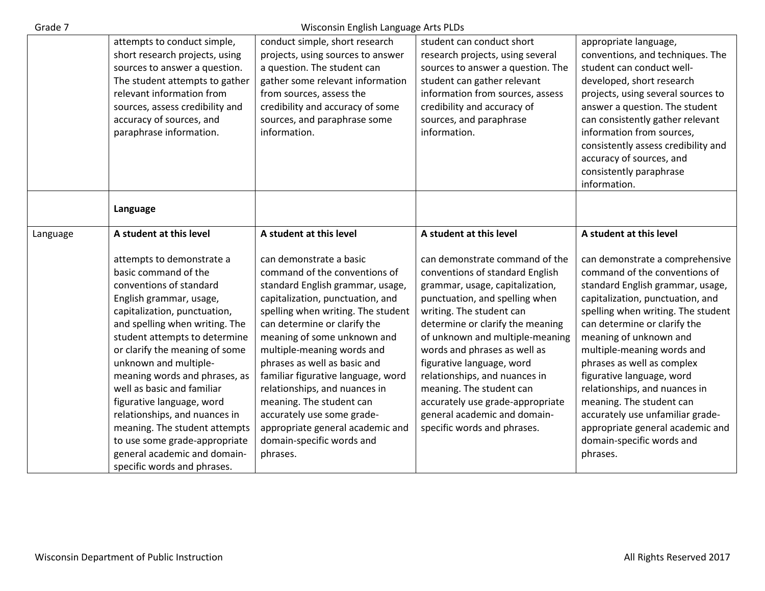| Grade 7  |                                                         | Wisconsin English Language Arts PLDs |                                                            |                                     |
|----------|---------------------------------------------------------|--------------------------------------|------------------------------------------------------------|-------------------------------------|
|          | attempts to conduct simple,                             | conduct simple, short research       | student can conduct short                                  | appropriate language,               |
|          | short research projects, using                          | projects, using sources to answer    | research projects, using several                           | conventions, and techniques. The    |
|          | sources to answer a question.                           | a question. The student can          | sources to answer a question. The                          | student can conduct well-           |
|          | The student attempts to gather                          | gather some relevant information     | student can gather relevant                                | developed, short research           |
|          | relevant information from                               | from sources, assess the             | information from sources, assess                           | projects, using several sources to  |
|          | sources, assess credibility and                         | credibility and accuracy of some     | credibility and accuracy of                                | answer a question. The student      |
|          | accuracy of sources, and                                | sources, and paraphrase some         | sources, and paraphrase                                    | can consistently gather relevant    |
|          | paraphrase information.                                 | information.                         | information.                                               | information from sources,           |
|          |                                                         |                                      |                                                            | consistently assess credibility and |
|          |                                                         |                                      |                                                            | accuracy of sources, and            |
|          |                                                         |                                      |                                                            | consistently paraphrase             |
|          |                                                         |                                      |                                                            | information.                        |
|          |                                                         |                                      |                                                            |                                     |
|          | Language                                                |                                      |                                                            |                                     |
| Language | A student at this level                                 | A student at this level              | A student at this level                                    | A student at this level             |
|          |                                                         |                                      |                                                            |                                     |
|          | attempts to demonstrate a                               | can demonstrate a basic              | can demonstrate command of the                             | can demonstrate a comprehensive     |
|          | basic command of the                                    |                                      |                                                            |                                     |
|          |                                                         | command of the conventions of        | conventions of standard English                            | command of the conventions of       |
|          | conventions of standard                                 | standard English grammar, usage,     | grammar, usage, capitalization,                            | standard English grammar, usage,    |
|          |                                                         | capitalization, punctuation, and     |                                                            | capitalization, punctuation, and    |
|          | English grammar, usage,<br>capitalization, punctuation, | spelling when writing. The student   | punctuation, and spelling when<br>writing. The student can | spelling when writing. The student  |
|          | and spelling when writing. The                          | can determine or clarify the         | determine or clarify the meaning                           | can determine or clarify the        |
|          | student attempts to determine                           | meaning of some unknown and          | of unknown and multiple-meaning                            | meaning of unknown and              |
|          | or clarify the meaning of some                          | multiple-meaning words and           | words and phrases as well as                               | multiple-meaning words and          |
|          | unknown and multiple-                                   | phrases as well as basic and         | figurative language, word                                  | phrases as well as complex          |
|          | meaning words and phrases, as                           | familiar figurative language, word   | relationships, and nuances in                              | figurative language, word           |
|          | well as basic and familiar                              | relationships, and nuances in        | meaning. The student can                                   | relationships, and nuances in       |
|          | figurative language, word                               | meaning. The student can             | accurately use grade-appropriate                           | meaning. The student can            |
|          | relationships, and nuances in                           | accurately use some grade-           | general academic and domain-                               | accurately use unfamiliar grade-    |
|          | meaning. The student attempts                           | appropriate general academic and     | specific words and phrases.                                | appropriate general academic and    |
|          | to use some grade-appropriate                           | domain-specific words and            |                                                            | domain-specific words and           |
|          | general academic and domain-                            | phrases.                             |                                                            | phrases.                            |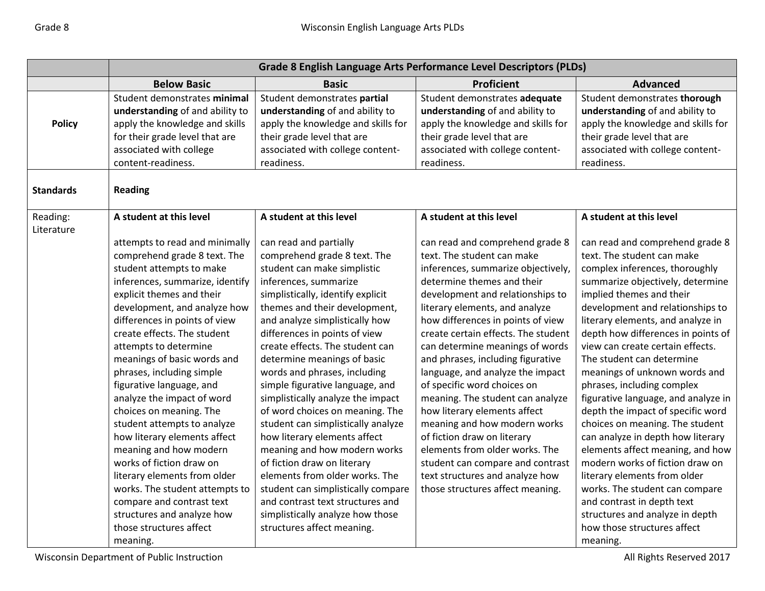|                  | Grade 8 English Language Arts Performance Level Descriptors (PLDs)                                                                                                                                                                                                                                                                                                                                                                                                                                                                                                                                                                                                                                                |                                                                                                                                                                                                                                                                                                                                                                                                                                                                                                                                                                                                                                                                                                                                                                                         |                                                                                                                                                                                                                                                                                                                                                                                                                                                                                                                                                                                                                                                                                                                |                                                                                                                                                                                                                                                                                                                                                                                                                                                                                                                                                                                                                                                                                                                                                                                                             |
|------------------|-------------------------------------------------------------------------------------------------------------------------------------------------------------------------------------------------------------------------------------------------------------------------------------------------------------------------------------------------------------------------------------------------------------------------------------------------------------------------------------------------------------------------------------------------------------------------------------------------------------------------------------------------------------------------------------------------------------------|-----------------------------------------------------------------------------------------------------------------------------------------------------------------------------------------------------------------------------------------------------------------------------------------------------------------------------------------------------------------------------------------------------------------------------------------------------------------------------------------------------------------------------------------------------------------------------------------------------------------------------------------------------------------------------------------------------------------------------------------------------------------------------------------|----------------------------------------------------------------------------------------------------------------------------------------------------------------------------------------------------------------------------------------------------------------------------------------------------------------------------------------------------------------------------------------------------------------------------------------------------------------------------------------------------------------------------------------------------------------------------------------------------------------------------------------------------------------------------------------------------------------|-------------------------------------------------------------------------------------------------------------------------------------------------------------------------------------------------------------------------------------------------------------------------------------------------------------------------------------------------------------------------------------------------------------------------------------------------------------------------------------------------------------------------------------------------------------------------------------------------------------------------------------------------------------------------------------------------------------------------------------------------------------------------------------------------------------|
|                  | <b>Below Basic</b>                                                                                                                                                                                                                                                                                                                                                                                                                                                                                                                                                                                                                                                                                                | <b>Basic</b>                                                                                                                                                                                                                                                                                                                                                                                                                                                                                                                                                                                                                                                                                                                                                                            | Proficient                                                                                                                                                                                                                                                                                                                                                                                                                                                                                                                                                                                                                                                                                                     | <b>Advanced</b>                                                                                                                                                                                                                                                                                                                                                                                                                                                                                                                                                                                                                                                                                                                                                                                             |
| <b>Policy</b>    | Student demonstrates minimal<br>understanding of and ability to<br>apply the knowledge and skills<br>for their grade level that are<br>associated with college<br>content-readiness.                                                                                                                                                                                                                                                                                                                                                                                                                                                                                                                              | Student demonstrates partial<br>understanding of and ability to<br>apply the knowledge and skills for<br>their grade level that are<br>associated with college content-<br>readiness.                                                                                                                                                                                                                                                                                                                                                                                                                                                                                                                                                                                                   | Student demonstrates adequate<br>understanding of and ability to<br>apply the knowledge and skills for<br>their grade level that are<br>associated with college content-<br>readiness.                                                                                                                                                                                                                                                                                                                                                                                                                                                                                                                         | Student demonstrates thorough<br>understanding of and ability to<br>apply the knowledge and skills for<br>their grade level that are<br>associated with college content-<br>readiness.                                                                                                                                                                                                                                                                                                                                                                                                                                                                                                                                                                                                                      |
| <b>Standards</b> | <b>Reading</b>                                                                                                                                                                                                                                                                                                                                                                                                                                                                                                                                                                                                                                                                                                    |                                                                                                                                                                                                                                                                                                                                                                                                                                                                                                                                                                                                                                                                                                                                                                                         |                                                                                                                                                                                                                                                                                                                                                                                                                                                                                                                                                                                                                                                                                                                |                                                                                                                                                                                                                                                                                                                                                                                                                                                                                                                                                                                                                                                                                                                                                                                                             |
| Reading:         | A student at this level                                                                                                                                                                                                                                                                                                                                                                                                                                                                                                                                                                                                                                                                                           | A student at this level                                                                                                                                                                                                                                                                                                                                                                                                                                                                                                                                                                                                                                                                                                                                                                 | A student at this level                                                                                                                                                                                                                                                                                                                                                                                                                                                                                                                                                                                                                                                                                        | A student at this level                                                                                                                                                                                                                                                                                                                                                                                                                                                                                                                                                                                                                                                                                                                                                                                     |
| Literature       | attempts to read and minimally<br>comprehend grade 8 text. The<br>student attempts to make<br>inferences, summarize, identify<br>explicit themes and their<br>development, and analyze how<br>differences in points of view<br>create effects. The student<br>attempts to determine<br>meanings of basic words and<br>phrases, including simple<br>figurative language, and<br>analyze the impact of word<br>choices on meaning. The<br>student attempts to analyze<br>how literary elements affect<br>meaning and how modern<br>works of fiction draw on<br>literary elements from older<br>works. The student attempts to<br>compare and contrast text<br>structures and analyze how<br>those structures affect | can read and partially<br>comprehend grade 8 text. The<br>student can make simplistic<br>inferences, summarize<br>simplistically, identify explicit<br>themes and their development,<br>and analyze simplistically how<br>differences in points of view<br>create effects. The student can<br>determine meanings of basic<br>words and phrases, including<br>simple figurative language, and<br>simplistically analyze the impact<br>of word choices on meaning. The<br>student can simplistically analyze<br>how literary elements affect<br>meaning and how modern works<br>of fiction draw on literary<br>elements from older works. The<br>student can simplistically compare<br>and contrast text structures and<br>simplistically analyze how those<br>structures affect meaning. | can read and comprehend grade 8<br>text. The student can make<br>inferences, summarize objectively,<br>determine themes and their<br>development and relationships to<br>literary elements, and analyze<br>how differences in points of view<br>create certain effects. The student<br>can determine meanings of words<br>and phrases, including figurative<br>language, and analyze the impact<br>of specific word choices on<br>meaning. The student can analyze<br>how literary elements affect<br>meaning and how modern works<br>of fiction draw on literary<br>elements from older works. The<br>student can compare and contrast<br>text structures and analyze how<br>those structures affect meaning. | can read and comprehend grade 8<br>text. The student can make<br>complex inferences, thoroughly<br>summarize objectively, determine<br>implied themes and their<br>development and relationships to<br>literary elements, and analyze in<br>depth how differences in points of<br>view can create certain effects.<br>The student can determine<br>meanings of unknown words and<br>phrases, including complex<br>figurative language, and analyze in<br>depth the impact of specific word<br>choices on meaning. The student<br>can analyze in depth how literary<br>elements affect meaning, and how<br>modern works of fiction draw on<br>literary elements from older<br>works. The student can compare<br>and contrast in depth text<br>structures and analyze in depth<br>how those structures affect |
|                  | meaning.                                                                                                                                                                                                                                                                                                                                                                                                                                                                                                                                                                                                                                                                                                          |                                                                                                                                                                                                                                                                                                                                                                                                                                                                                                                                                                                                                                                                                                                                                                                         |                                                                                                                                                                                                                                                                                                                                                                                                                                                                                                                                                                                                                                                                                                                | meaning.                                                                                                                                                                                                                                                                                                                                                                                                                                                                                                                                                                                                                                                                                                                                                                                                    |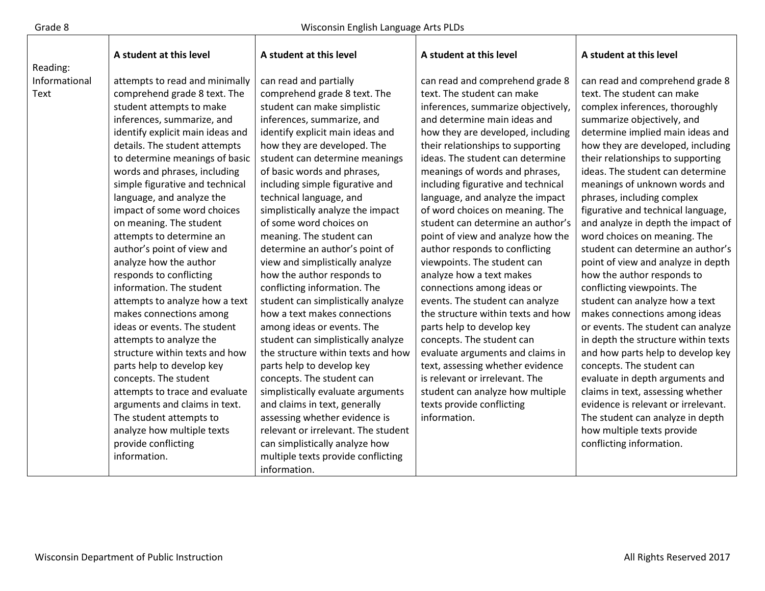$\mathbf{I}$ 

Т

|               | A student at this level          | A student at this level             | A student at this level            | A student at this level             |
|---------------|----------------------------------|-------------------------------------|------------------------------------|-------------------------------------|
| Reading:      |                                  |                                     |                                    |                                     |
| Informational | attempts to read and minimally   | can read and partially              | can read and comprehend grade 8    | can read and comprehend grade 8     |
| Text          | comprehend grade 8 text. The     | comprehend grade 8 text. The        | text. The student can make         | text. The student can make          |
|               | student attempts to make         | student can make simplistic         | inferences, summarize objectively, | complex inferences, thoroughly      |
|               | inferences, summarize, and       | inferences, summarize, and          | and determine main ideas and       | summarize objectively, and          |
|               | identify explicit main ideas and | identify explicit main ideas and    | how they are developed, including  | determine implied main ideas and    |
|               | details. The student attempts    | how they are developed. The         | their relationships to supporting  | how they are developed, including   |
|               | to determine meanings of basic   | student can determine meanings      | ideas. The student can determine   | their relationships to supporting   |
|               | words and phrases, including     | of basic words and phrases,         | meanings of words and phrases,     | ideas. The student can determine    |
|               | simple figurative and technical  | including simple figurative and     | including figurative and technical | meanings of unknown words and       |
|               | language, and analyze the        | technical language, and             | language, and analyze the impact   | phrases, including complex          |
|               | impact of some word choices      | simplistically analyze the impact   | of word choices on meaning. The    | figurative and technical language,  |
|               | on meaning. The student          | of some word choices on             | student can determine an author's  | and analyze in depth the impact of  |
|               | attempts to determine an         | meaning. The student can            | point of view and analyze how the  | word choices on meaning. The        |
|               | author's point of view and       | determine an author's point of      | author responds to conflicting     | student can determine an author's   |
|               | analyze how the author           | view and simplistically analyze     | viewpoints. The student can        | point of view and analyze in depth  |
|               | responds to conflicting          | how the author responds to          | analyze how a text makes           | how the author responds to          |
|               | information. The student         | conflicting information. The        | connections among ideas or         | conflicting viewpoints. The         |
|               | attempts to analyze how a text   | student can simplistically analyze  | events. The student can analyze    | student can analyze how a text      |
|               | makes connections among          | how a text makes connections        | the structure within texts and how | makes connections among ideas       |
|               | ideas or events. The student     | among ideas or events. The          | parts help to develop key          | or events. The student can analyze  |
|               | attempts to analyze the          | student can simplistically analyze  | concepts. The student can          | in depth the structure within texts |
|               | structure within texts and how   | the structure within texts and how  | evaluate arguments and claims in   | and how parts help to develop key   |
|               | parts help to develop key        | parts help to develop key           | text, assessing whether evidence   | concepts. The student can           |
|               | concepts. The student            | concepts. The student can           | is relevant or irrelevant. The     | evaluate in depth arguments and     |
|               | attempts to trace and evaluate   | simplistically evaluate arguments   | student can analyze how multiple   | claims in text, assessing whether   |
|               | arguments and claims in text.    | and claims in text, generally       | texts provide conflicting          | evidence is relevant or irrelevant. |
|               | The student attempts to          | assessing whether evidence is       | information.                       | The student can analyze in depth    |
|               | analyze how multiple texts       | relevant or irrelevant. The student |                                    | how multiple texts provide          |
|               | provide conflicting              | can simplistically analyze how      |                                    | conflicting information.            |
|               | information.                     | multiple texts provide conflicting  |                                    |                                     |
|               |                                  | information.                        |                                    |                                     |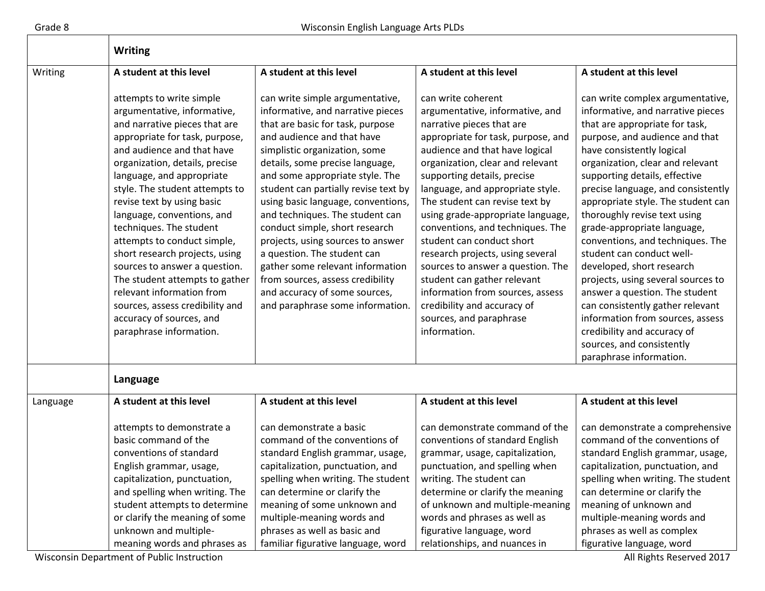|          | <b>Writing</b>                                                                                                                                                                                                                                                                                                                                                                                                                                                                                                                                                                                              |                                                                                                                                                                                                                                                                                                                                                                                                                                                                                                                                                                                                                   |                                                                                                                                                                                                                                                                                                                                                                                                                                                                                                                                                                                                                                 |                                                                                                                                                                                                                                                                                                                                                                                                                                                                                                                                                                                                                                                                                                                             |  |
|----------|-------------------------------------------------------------------------------------------------------------------------------------------------------------------------------------------------------------------------------------------------------------------------------------------------------------------------------------------------------------------------------------------------------------------------------------------------------------------------------------------------------------------------------------------------------------------------------------------------------------|-------------------------------------------------------------------------------------------------------------------------------------------------------------------------------------------------------------------------------------------------------------------------------------------------------------------------------------------------------------------------------------------------------------------------------------------------------------------------------------------------------------------------------------------------------------------------------------------------------------------|---------------------------------------------------------------------------------------------------------------------------------------------------------------------------------------------------------------------------------------------------------------------------------------------------------------------------------------------------------------------------------------------------------------------------------------------------------------------------------------------------------------------------------------------------------------------------------------------------------------------------------|-----------------------------------------------------------------------------------------------------------------------------------------------------------------------------------------------------------------------------------------------------------------------------------------------------------------------------------------------------------------------------------------------------------------------------------------------------------------------------------------------------------------------------------------------------------------------------------------------------------------------------------------------------------------------------------------------------------------------------|--|
| Writing  | A student at this level                                                                                                                                                                                                                                                                                                                                                                                                                                                                                                                                                                                     | A student at this level                                                                                                                                                                                                                                                                                                                                                                                                                                                                                                                                                                                           | A student at this level                                                                                                                                                                                                                                                                                                                                                                                                                                                                                                                                                                                                         | A student at this level                                                                                                                                                                                                                                                                                                                                                                                                                                                                                                                                                                                                                                                                                                     |  |
|          | attempts to write simple<br>argumentative, informative,<br>and narrative pieces that are<br>appropriate for task, purpose,<br>and audience and that have<br>organization, details, precise<br>language, and appropriate<br>style. The student attempts to<br>revise text by using basic<br>language, conventions, and<br>techniques. The student<br>attempts to conduct simple,<br>short research projects, using<br>sources to answer a question.<br>The student attempts to gather<br>relevant information from<br>sources, assess credibility and<br>accuracy of sources, and<br>paraphrase information. | can write simple argumentative,<br>informative, and narrative pieces<br>that are basic for task, purpose<br>and audience and that have<br>simplistic organization, some<br>details, some precise language,<br>and some appropriate style. The<br>student can partially revise text by<br>using basic language, conventions,<br>and techniques. The student can<br>conduct simple, short research<br>projects, using sources to answer<br>a question. The student can<br>gather some relevant information<br>from sources, assess credibility<br>and accuracy of some sources,<br>and paraphrase some information. | can write coherent<br>argumentative, informative, and<br>narrative pieces that are<br>appropriate for task, purpose, and<br>audience and that have logical<br>organization, clear and relevant<br>supporting details, precise<br>language, and appropriate style.<br>The student can revise text by<br>using grade-appropriate language,<br>conventions, and techniques. The<br>student can conduct short<br>research projects, using several<br>sources to answer a question. The<br>student can gather relevant<br>information from sources, assess<br>credibility and accuracy of<br>sources, and paraphrase<br>information. | can write complex argumentative,<br>informative, and narrative pieces<br>that are appropriate for task,<br>purpose, and audience and that<br>have consistently logical<br>organization, clear and relevant<br>supporting details, effective<br>precise language, and consistently<br>appropriate style. The student can<br>thoroughly revise text using<br>grade-appropriate language,<br>conventions, and techniques. The<br>student can conduct well-<br>developed, short research<br>projects, using several sources to<br>answer a question. The student<br>can consistently gather relevant<br>information from sources, assess<br>credibility and accuracy of<br>sources, and consistently<br>paraphrase information. |  |
|          | Language                                                                                                                                                                                                                                                                                                                                                                                                                                                                                                                                                                                                    |                                                                                                                                                                                                                                                                                                                                                                                                                                                                                                                                                                                                                   |                                                                                                                                                                                                                                                                                                                                                                                                                                                                                                                                                                                                                                 |                                                                                                                                                                                                                                                                                                                                                                                                                                                                                                                                                                                                                                                                                                                             |  |
| Language | A student at this level                                                                                                                                                                                                                                                                                                                                                                                                                                                                                                                                                                                     | A student at this level                                                                                                                                                                                                                                                                                                                                                                                                                                                                                                                                                                                           | A student at this level                                                                                                                                                                                                                                                                                                                                                                                                                                                                                                                                                                                                         | A student at this level                                                                                                                                                                                                                                                                                                                                                                                                                                                                                                                                                                                                                                                                                                     |  |
|          | attempts to demonstrate a<br>basic command of the<br>conventions of standard<br>English grammar, usage,<br>capitalization, punctuation,<br>and spelling when writing. The<br>student attempts to determine<br>or clarify the meaning of some<br>unknown and multiple-<br>meaning words and phrases as                                                                                                                                                                                                                                                                                                       | can demonstrate a basic<br>command of the conventions of<br>standard English grammar, usage,<br>capitalization, punctuation, and<br>spelling when writing. The student<br>can determine or clarify the<br>meaning of some unknown and<br>multiple-meaning words and<br>phrases as well as basic and<br>familiar figurative language, word                                                                                                                                                                                                                                                                         | can demonstrate command of the<br>conventions of standard English<br>grammar, usage, capitalization,<br>punctuation, and spelling when<br>writing. The student can<br>determine or clarify the meaning<br>of unknown and multiple-meaning<br>words and phrases as well as<br>figurative language, word<br>relationships, and nuances in                                                                                                                                                                                                                                                                                         | can demonstrate a comprehensive<br>command of the conventions of<br>standard English grammar, usage,<br>capitalization, punctuation, and<br>spelling when writing. The student<br>can determine or clarify the<br>meaning of unknown and<br>multiple-meaning words and<br>phrases as well as complex<br>figurative language, word                                                                                                                                                                                                                                                                                                                                                                                           |  |

Wisconsin Department of Public Instruction **All Rights Reserved 2017** All Rights Reserved 2017